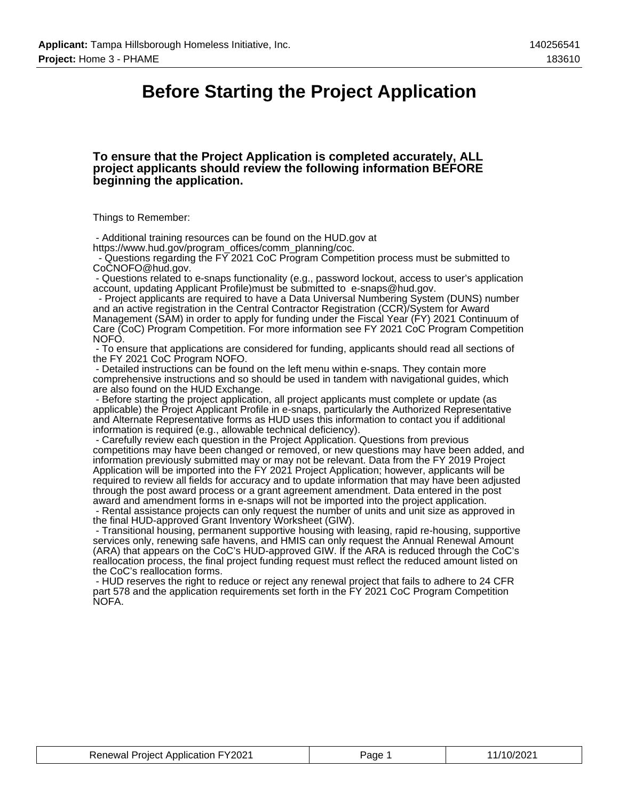### **Before Starting the Project Application**

#### **To ensure that the Project Application is completed accurately, ALL project applicants should review the following information BEFORE beginning the application.**

Things to Remember:

 - Additional training resources can be found on the HUD.gov at https://www.hud.gov/program\_offices/comm\_planning/coc.

 - Questions regarding the FY 2021 CoC Program Competition process must be submitted to CoCNOFO@hud.gov.

 - Questions related to e-snaps functionality (e.g., password lockout, access to user's application account, updating Applicant Profile)must be submitted to e-snaps@hud.gov.

 - Project applicants are required to have a Data Universal Numbering System (DUNS) number and an active registration in the Central Contractor Registration (CCR)/System for Award Management (SAM) in order to apply for funding under the Fiscal Year (FY) 2021 Continuum of Care (CoC) Program Competition. For more information see FY 2021 CoC Program Competition NOFO.

 - To ensure that applications are considered for funding, applicants should read all sections of the FY 2021 CoC Program NOFO.

 - Detailed instructions can be found on the left menu within e-snaps. They contain more comprehensive instructions and so should be used in tandem with navigational guides, which are also found on the HUD Exchange.

 - Before starting the project application, all project applicants must complete or update (as applicable) the Project Applicant Profile in e-snaps, particularly the Authorized Representative and Alternate Representative forms as HUD uses this information to contact you if additional information is required (e.g., allowable technical deficiency).

 - Carefully review each question in the Project Application. Questions from previous competitions may have been changed or removed, or new questions may have been added, and information previously submitted may or may not be relevant. Data from the FY 2019 Project Application will be imported into the FY 2021 Project Application; however, applicants will be required to review all fields for accuracy and to update information that may have been adjusted through the post award process or a grant agreement amendment. Data entered in the post award and amendment forms in e-snaps will not be imported into the project application.

 - Rental assistance projects can only request the number of units and unit size as approved in the final HUD-approved Grant Inventory Worksheet (GIW).

 - Transitional housing, permanent supportive housing with leasing, rapid re-housing, supportive services only, renewing safe havens, and HMIS can only request the Annual Renewal Amount (ARA) that appears on the CoC's HUD-approved GIW. If the ARA is reduced through the CoC's reallocation process, the final project funding request must reflect the reduced amount listed on the CoC's reallocation forms.

 - HUD reserves the right to reduce or reject any renewal project that fails to adhere to 24 CFR part 578 and the application requirements set forth in the FY 2021 CoC Program Competition NOFA.

| <b>Renewal Project Application FY2021</b> | Page 1 | 11/10/2021 |
|-------------------------------------------|--------|------------|
|-------------------------------------------|--------|------------|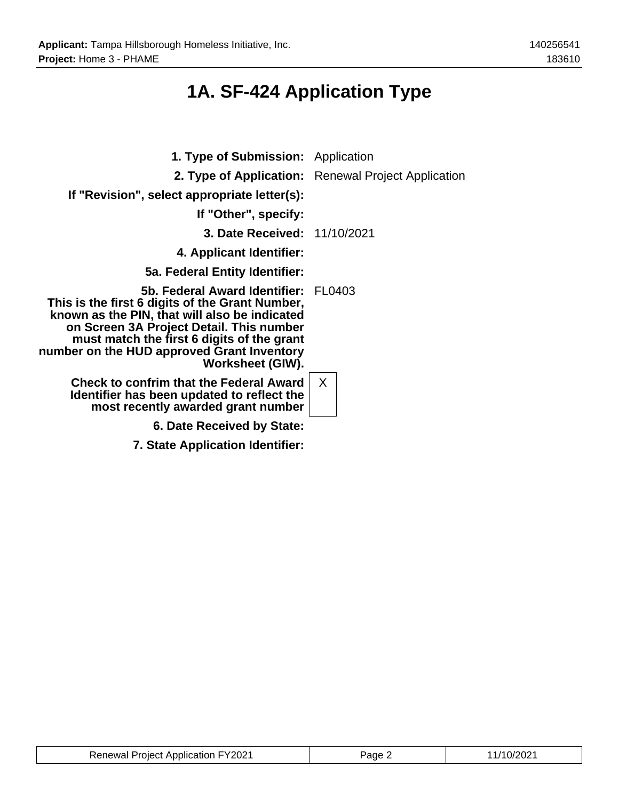# **1A. SF-424 Application Type**

| <b>1. Type of Submission:</b> Application                                                                                                                                                                                                                                                                   |                                                     |
|-------------------------------------------------------------------------------------------------------------------------------------------------------------------------------------------------------------------------------------------------------------------------------------------------------------|-----------------------------------------------------|
|                                                                                                                                                                                                                                                                                                             | 2. Type of Application: Renewal Project Application |
| If "Revision", select appropriate letter(s):                                                                                                                                                                                                                                                                |                                                     |
| If "Other", specify:                                                                                                                                                                                                                                                                                        |                                                     |
| <b>3. Date Received: 11/10/2021</b>                                                                                                                                                                                                                                                                         |                                                     |
| 4. Applicant Identifier:                                                                                                                                                                                                                                                                                    |                                                     |
| 5a. Federal Entity Identifier:                                                                                                                                                                                                                                                                              |                                                     |
| <b>5b. Federal Award Identifier: FL0403</b><br>This is the first 6 digits of the Grant Number,<br>known as the PIN, that will also be indicated<br>on Screen 3A Project Detail. This number<br>must match the first 6 digits of the grant<br>number on the HUD approved Grant Inventory<br>Worksheet (GIW). |                                                     |
| <b>Check to confrim that the Federal Award</b><br>Identifier has been updated to reflect the<br>most recently awarded grant number                                                                                                                                                                          | $\sf X$                                             |
| 6. Date Received by State:                                                                                                                                                                                                                                                                                  |                                                     |
| 7. State Application Identifier:                                                                                                                                                                                                                                                                            |                                                     |

| <b>Renewal Project Application FY2021</b> | Page: | 11/10/2021 |
|-------------------------------------------|-------|------------|
|-------------------------------------------|-------|------------|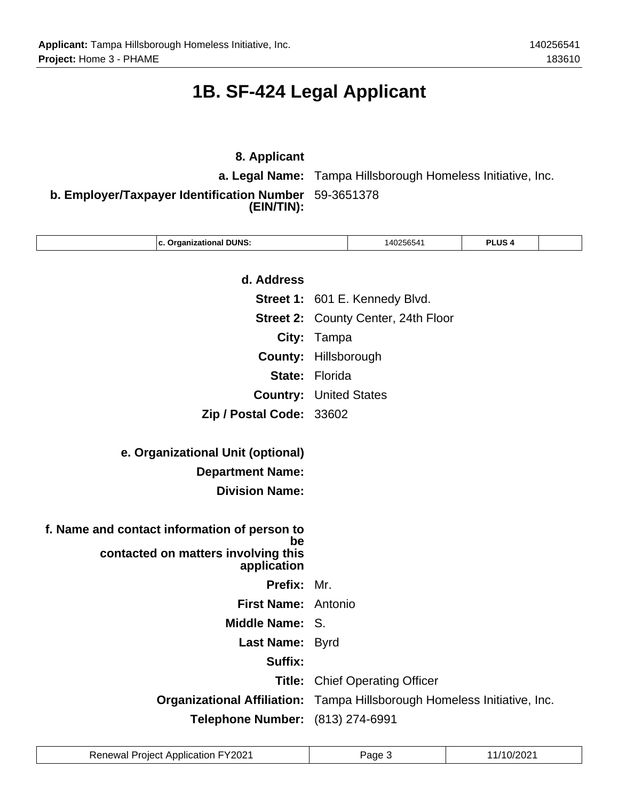# **1B. SF-424 Legal Applicant**

### **8. Applicant**

**a. Legal Name:** Tampa Hillsborough Homeless Initiative, Inc.

**b. Employer/Taxpayer Identification Number** 59-3651378 **(EIN/TIN):**

| c. Organizational DUNS:                      |              | 140256541                                    | <b>PLUS4</b> |  |
|----------------------------------------------|--------------|----------------------------------------------|--------------|--|
|                                              |              |                                              |              |  |
| d. Address                                   |              |                                              |              |  |
|                                              |              | Street 1: 601 E. Kennedy Blvd.               |              |  |
|                                              |              | <b>Street 2: County Center, 24th Floor</b>   |              |  |
| City:                                        | Tampa        |                                              |              |  |
| County:                                      | Hillsborough |                                              |              |  |
| State:                                       | Florida      |                                              |              |  |
| <b>Country: United States</b>                |              |                                              |              |  |
| Zip / Postal Code: 33602                     |              |                                              |              |  |
|                                              |              |                                              |              |  |
| e. Organizational Unit (optional)            |              |                                              |              |  |
| <b>Department Name:</b>                      |              |                                              |              |  |
| <b>Division Name:</b>                        |              |                                              |              |  |
|                                              |              |                                              |              |  |
| f. Name and contact information of person to |              |                                              |              |  |
| be<br>contacted on matters involving this    |              |                                              |              |  |
| application                                  |              |                                              |              |  |
| Prefix: Mr.                                  |              |                                              |              |  |
| First Name: Antonio                          |              |                                              |              |  |
| Middle Name: S.                              |              |                                              |              |  |
| Last Name: Byrd                              |              |                                              |              |  |
| Suffix:                                      |              |                                              |              |  |
|                                              |              | <b>Title: Chief Operating Officer</b>        |              |  |
| <b>Organizational Affiliation:</b>           |              | Tampa Hillsborough Homeless Initiative, Inc. |              |  |
| Telephone Number: (813) 274-6991             |              |                                              |              |  |

| <b>Renewal Project Application FY2021</b> | Page 3 | 11/10/2021 |
|-------------------------------------------|--------|------------|
|-------------------------------------------|--------|------------|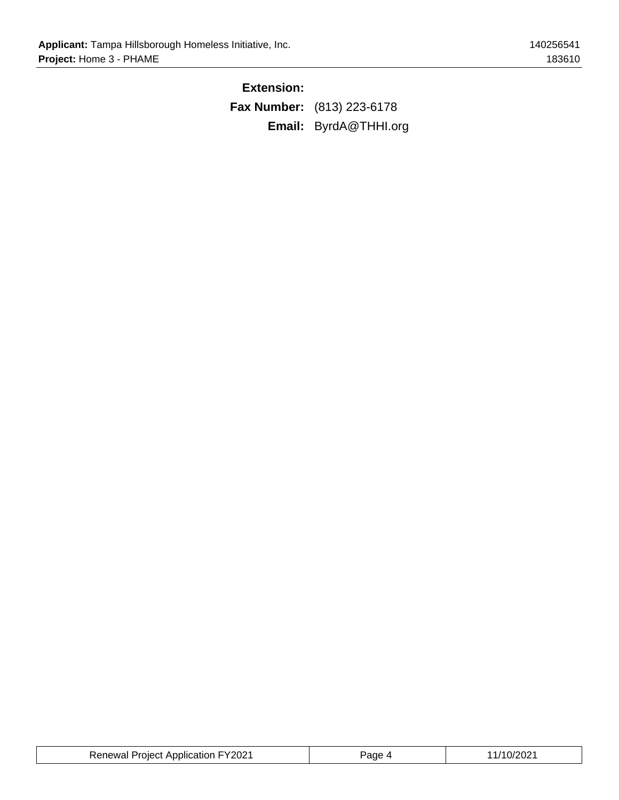# **Extension:**

**Fax Number:** (813) 223-6178 **Email:** ByrdA@THHI.org

| <b>Renewal Project Application FY2021</b> | aqe | 1/10/2021 |
|-------------------------------------------|-----|-----------|
|-------------------------------------------|-----|-----------|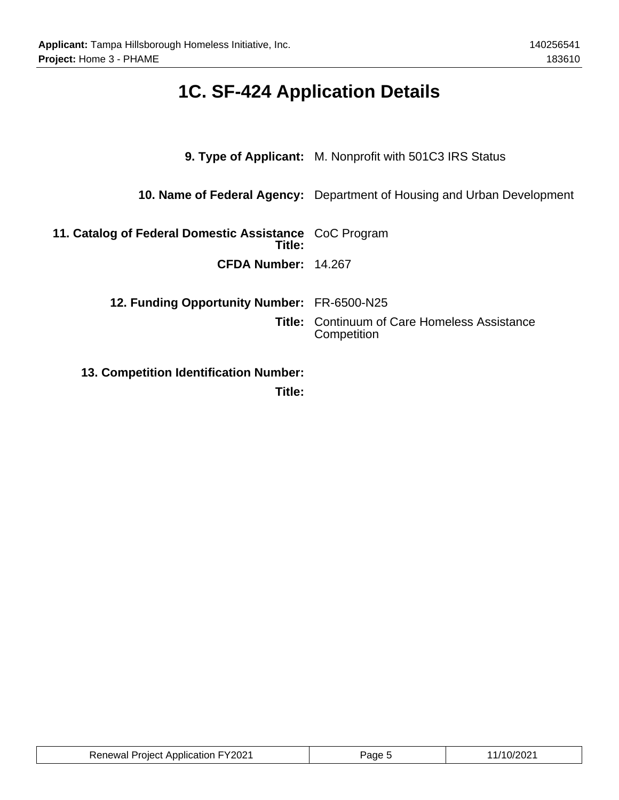# **1C. SF-424 Application Details**

|                                                                  | <b>9. Type of Applicant:</b> M. Nonprofit with 501C3 IRS Status         |
|------------------------------------------------------------------|-------------------------------------------------------------------------|
|                                                                  | 10. Name of Federal Agency: Department of Housing and Urban Development |
| 11. Catalog of Federal Domestic Assistance CoC Program<br>Title: |                                                                         |
| CFDA Number: 14.267                                              |                                                                         |
| <b>12. Funding Opportunity Number: FR-6500-N25</b>               |                                                                         |
|                                                                  | <b>Title: Continuum of Care Homeless Assistance</b><br>Competition      |
| <b>13. Competition Identification Number:</b>                    |                                                                         |

**Title:**

| <b>Renewal Project Application FY2021</b> | ane' | ____ |
|-------------------------------------------|------|------|
|-------------------------------------------|------|------|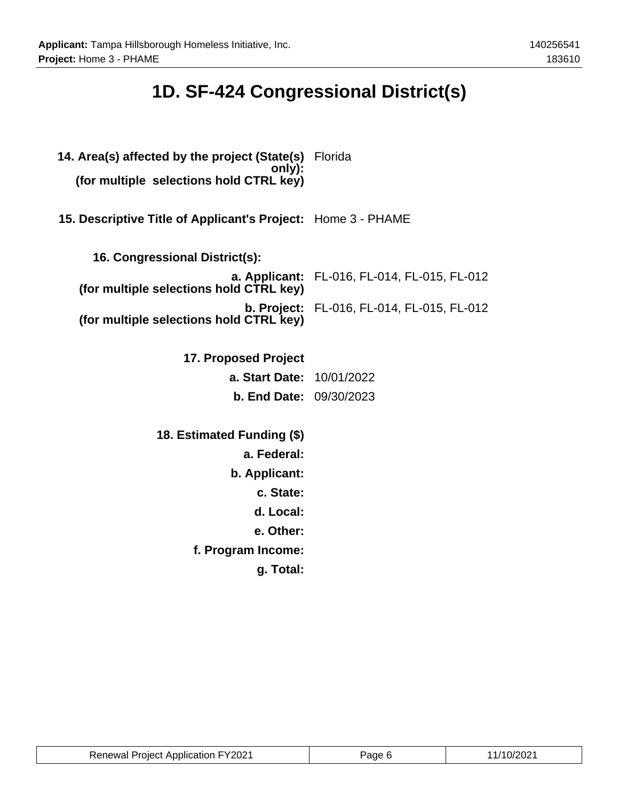# **1D. SF-424 Congressional District(s)**

| 14. Area(s) affected by the project (State(s) Florida<br>only):<br>(for multiple selections hold CTRL key) |                                                     |
|------------------------------------------------------------------------------------------------------------|-----------------------------------------------------|
| 15. Descriptive Title of Applicant's Project: Home 3 - PHAME                                               |                                                     |
| 16. Congressional District(s):                                                                             |                                                     |
| (for multiple selections hold CTRL key)                                                                    | <b>a. Applicant:</b> FL-016, FL-014, FL-015, FL-012 |
| (for multiple selections hold CTRL key)                                                                    | <b>b. Project:</b> FL-016, FL-014, FL-015, FL-012   |
| 17. Proposed Project                                                                                       |                                                     |
| <b>a. Start Date: 10/01/2022</b>                                                                           |                                                     |
| <b>b. End Date: 09/30/2023</b>                                                                             |                                                     |
| 18. Estimated Funding (\$)                                                                                 |                                                     |
| a. Federal:                                                                                                |                                                     |
| b. Applicant:                                                                                              |                                                     |
| c. State:                                                                                                  |                                                     |
| d. Local:                                                                                                  |                                                     |
| e. Other:                                                                                                  |                                                     |
| f. Program Income:                                                                                         |                                                     |
| g. Total:                                                                                                  |                                                     |

| <b>Renewal Project Application FY2021</b> | Page F | 11/10/2021 |
|-------------------------------------------|--------|------------|
|-------------------------------------------|--------|------------|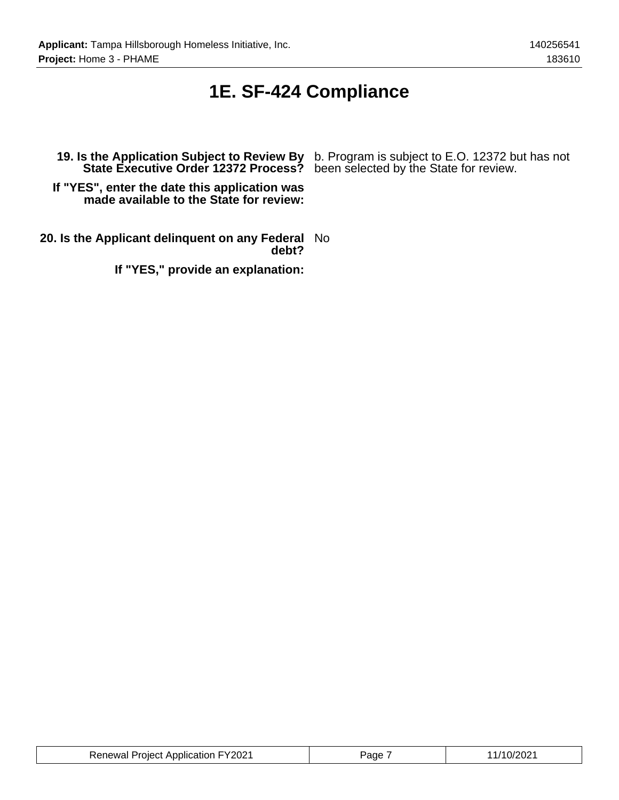### **1E. SF-424 Compliance**

**State Executive Order 12372 Process?** been selected by the State for review.

**19. Is the Application Subject to Review By** b. Program is subject to E.O. 12372 but has not

**If "YES", enter the date this application was made available to the State for review:**

**20. Is the Applicant delinquent on any Federal** No **debt?**

**If "YES," provide an explanation:**

| <b>Renewal Project Application FY2021</b> | Page | 11/10/2021 |
|-------------------------------------------|------|------------|
|-------------------------------------------|------|------------|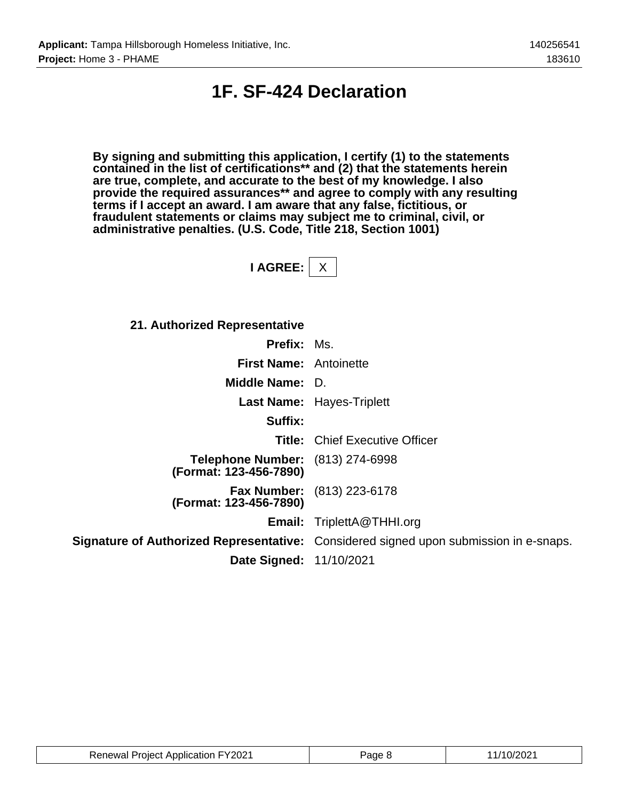### **1F. SF-424 Declaration**

**By signing and submitting this application, I certify (1) to the statements contained in the list of certifications\*\* and (2) that the statements herein are true, complete, and accurate to the best of my knowledge. I also provide the required assurances\*\* and agree to comply with any resulting terms if I accept an award. I am aware that any false, fictitious, or fraudulent statements or claims may subject me to criminal, civil, or administrative penalties. (U.S. Code, Title 218, Section 1001)**

**I AGREE:** X

**21. Authorized Representative**

| <b>Prefix: Ms.</b>                                                |                                                                                              |
|-------------------------------------------------------------------|----------------------------------------------------------------------------------------------|
| <b>First Name: Antoinette</b>                                     |                                                                                              |
| Middle Name: D.                                                   |                                                                                              |
|                                                                   | <b>Last Name: Hayes-Triplett</b>                                                             |
| Suffix:                                                           |                                                                                              |
|                                                                   | <b>Title: Chief Executive Officer</b>                                                        |
| <b>Telephone Number:</b> (813) 274-6998<br>(Format: 123-456-7890) |                                                                                              |
| (Format: 123-456-7890)                                            | Fax Number: (813) 223-6178                                                                   |
|                                                                   | <b>Email:</b> TriplettA@THHI.org                                                             |
|                                                                   | <b>Signature of Authorized Representative:</b> Considered signed upon submission in e-snaps. |
| <b>Date Signed: 11/10/2021</b>                                    |                                                                                              |

| <b>Renewal Project Application FY2021</b> | Page 8 | 11/10/2021 |
|-------------------------------------------|--------|------------|
|-------------------------------------------|--------|------------|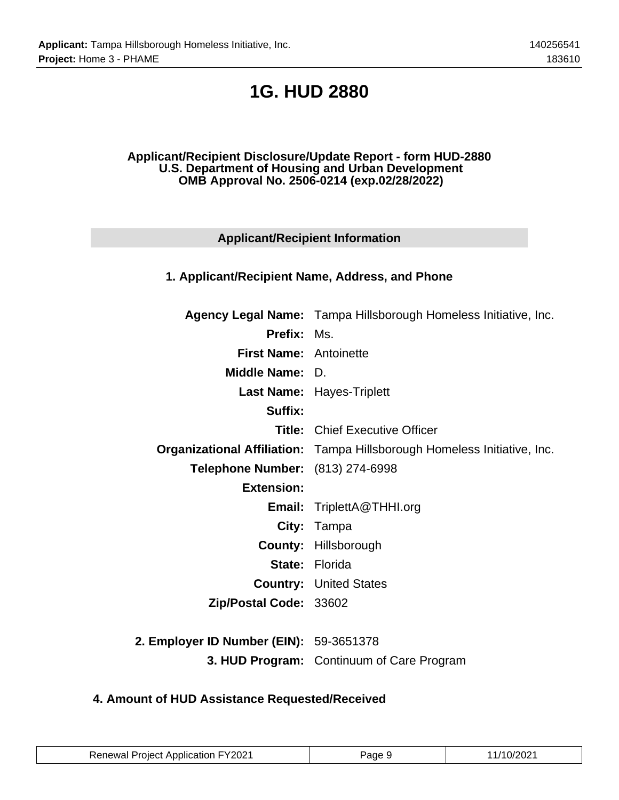# **1G. HUD 2880**

#### **Applicant/Recipient Disclosure/Update Report - form HUD-2880 U.S. Department of Housing and Urban Development OMB Approval No. 2506-0214 (exp.02/28/2022)**

#### **Applicant/Recipient Information**

#### **1. Applicant/Recipient Name, Address, and Phone**

|                                         | <b>Agency Legal Name:</b> Tampa Hillsborough Homeless Initiative, Inc.          |  |
|-----------------------------------------|---------------------------------------------------------------------------------|--|
| <b>Prefix: Ms.</b>                      |                                                                                 |  |
| <b>First Name: Antoinette</b>           |                                                                                 |  |
| Middle Name: D.                         |                                                                                 |  |
|                                         | <b>Last Name: Hayes-Triplett</b>                                                |  |
| Suffix:                                 |                                                                                 |  |
|                                         | <b>Title: Chief Executive Officer</b>                                           |  |
|                                         | <b>Organizational Affiliation:</b> Tampa Hillsborough Homeless Initiative, Inc. |  |
| Telephone Number: (813) 274-6998        |                                                                                 |  |
| <b>Extension:</b>                       |                                                                                 |  |
|                                         | Email: TriplettA@THHI.org                                                       |  |
|                                         | City: Tampa                                                                     |  |
|                                         | <b>County: Hillsborough</b>                                                     |  |
|                                         | <b>State: Florida</b>                                                           |  |
|                                         | <b>Country: United States</b>                                                   |  |
| Zip/Postal Code: 33602                  |                                                                                 |  |
|                                         |                                                                                 |  |
| 2. Employer ID Number (EIN): 59-3651378 |                                                                                 |  |

**3. HUD Program:** Continuum of Care Program

#### **4. Amount of HUD Assistance Requested/Received**

| <b>Renewal Project Application FY2021</b> | Page 9 | 11/10/2021 |
|-------------------------------------------|--------|------------|
|-------------------------------------------|--------|------------|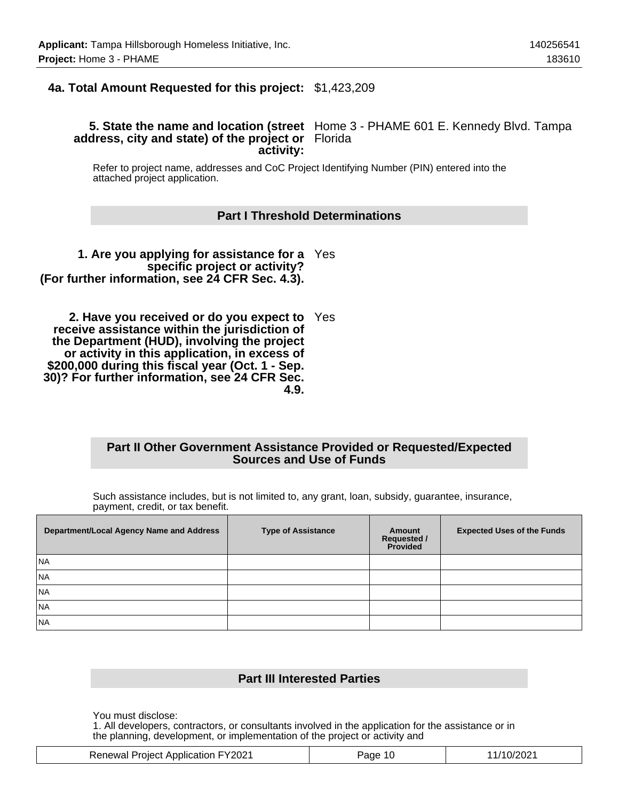#### **4a. Total Amount Requested for this project:** \$1,423,209

#### **5. State the name and location (street** Home 3 - PHAME 601 E. Kennedy Blvd. Tampa **address, city and state) of the project or** Florida **activity:**

Refer to project name, addresses and CoC Project Identifying Number (PIN) entered into the attached project application.

#### **Part I Threshold Determinations**

**1. Are you applying for assistance for a** Yes **specific project or activity? (For further information, see 24 CFR Sec. 4.3).**

**2. Have you received or do you expect to** Yes **receive assistance within the jurisdiction of the Department (HUD), involving the project or activity in this application, in excess of \$200,000 during this fiscal year (Oct. 1 - Sep. 30)? For further information, see 24 CFR Sec. 4.9.**

#### **Part II Other Government Assistance Provided or Requested/Expected Sources and Use of Funds**

Such assistance includes, but is not limited to, any grant, loan, subsidy, guarantee, insurance, payment, credit, or tax benefit.

| Department/Local Agency Name and Address | <b>Type of Assistance</b> | Amount<br><b>Requested /</b><br><b>Provided</b> | <b>Expected Uses of the Funds</b> |
|------------------------------------------|---------------------------|-------------------------------------------------|-----------------------------------|
| NA)                                      |                           |                                                 |                                   |
| NA                                       |                           |                                                 |                                   |
| NA                                       |                           |                                                 |                                   |
| NA                                       |                           |                                                 |                                   |
| NA)                                      |                           |                                                 |                                   |

#### **Part III Interested Parties**

You must disclose:

1. All developers, contractors, or consultants involved in the application for the assistance or in the planning, development, or implementation of the project or activity and

| <b>Renewal Project Application FY2021</b><br>Page 10 | 11/10/2021 |
|------------------------------------------------------|------------|
|------------------------------------------------------|------------|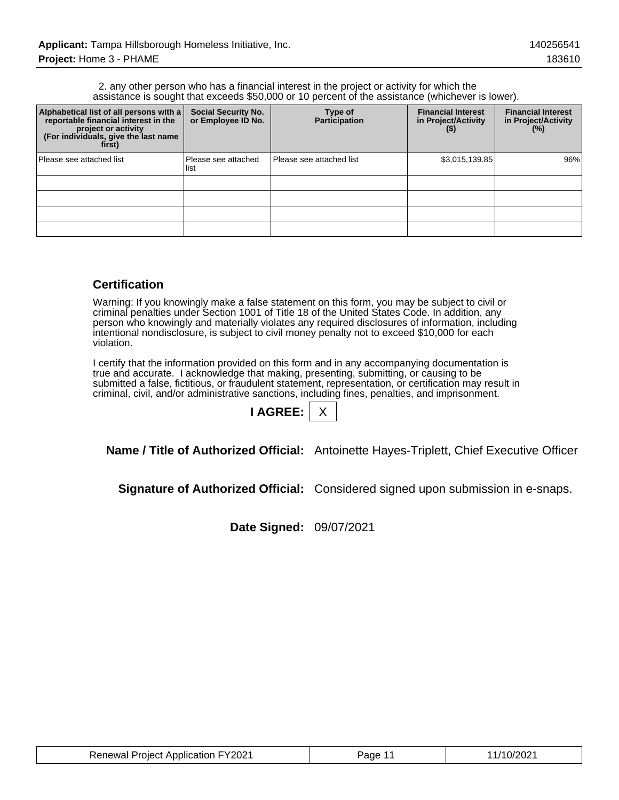2. any other person who has a financial interest in the project or activity for which the assistance is sought that exceeds \$50,000 or 10 percent of the assistance (whichever is lower).

| Alphabetical list of all persons with a<br>reportable financial interest in the<br>project or activity<br>(For individuals, give the last name<br>first) | <b>Social Security No.</b><br>or Employee ID No. | Type of<br><b>Participation</b> | <b>Financial Interest</b><br>in Project/Activity<br>$($ \$) | <b>Financial Interest</b><br>in Project/Activity<br>(%) |
|----------------------------------------------------------------------------------------------------------------------------------------------------------|--------------------------------------------------|---------------------------------|-------------------------------------------------------------|---------------------------------------------------------|
| Please see attached list                                                                                                                                 | l Please see attached<br>list                    | Please see attached list        | \$3,015,139.85                                              | 96%                                                     |
|                                                                                                                                                          |                                                  |                                 |                                                             |                                                         |
|                                                                                                                                                          |                                                  |                                 |                                                             |                                                         |
|                                                                                                                                                          |                                                  |                                 |                                                             |                                                         |
|                                                                                                                                                          |                                                  |                                 |                                                             |                                                         |

#### **Certification**

Warning: If you knowingly make a false statement on this form, you may be subject to civil or criminal penalties under Section 1001 of Title 18 of the United States Code. In addition, any person who knowingly and materially violates any required disclosures of information, including intentional nondisclosure, is subject to civil money penalty not to exceed \$10,000 for each violation.

I certify that the information provided on this form and in any accompanying documentation is true and accurate. I acknowledge that making, presenting, submitting, or causing to be submitted a false, fictitious, or fraudulent statement, representation, or certification may result in criminal, civil, and/or administrative sanctions, including fines, penalties, and imprisonment.

| <b>AGREE:</b> |  |
|---------------|--|
|               |  |

**Name / Title of Authorized Official:** Antoinette Hayes-Triplett, Chief Executive Officer

**Signature of Authorized Official:** Considered signed upon submission in e-snaps.

**Date Signed:** 09/07/2021

| <b>Renewal Project Application FY2021</b> | Page 11 | 11/10/2021 |
|-------------------------------------------|---------|------------|
|-------------------------------------------|---------|------------|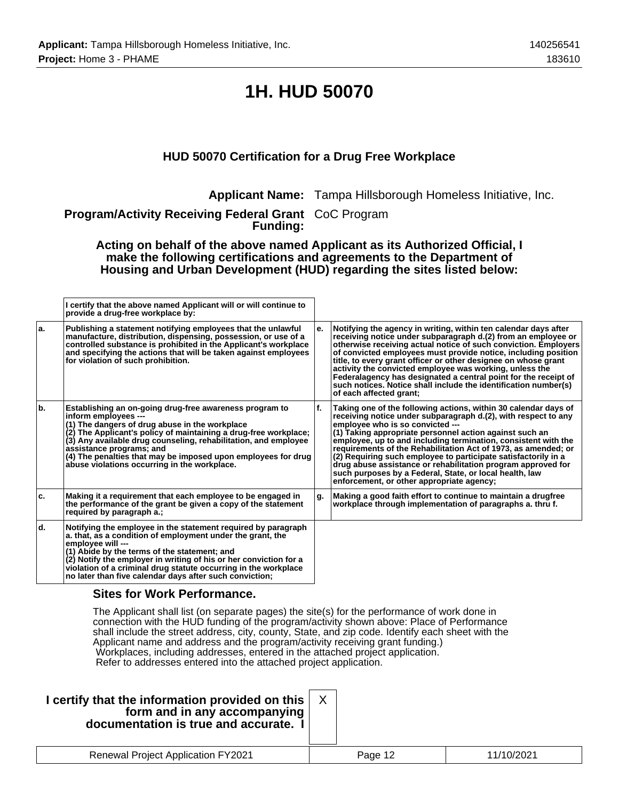# **1H. HUD 50070**

#### **HUD 50070 Certification for a Drug Free Workplace**

**Applicant Name:** Tampa Hillsborough Homeless Initiative, Inc.

#### **Program/Activity Receiving Federal Grant** CoC Program **Funding:**

**Acting on behalf of the above named Applicant as its Authorized Official, I make the following certifications and agreements to the Department of Housing and Urban Development (HUD) regarding the sites listed below:**

|     | I certify that the above named Applicant will or will continue to<br>provide a drug-free workplace by:                                                                                                                                                                                                                                                                                                                |    |                                                                                                                                                                                                                                                                                                                                                                                                                                                                                                                                                                                                                |
|-----|-----------------------------------------------------------------------------------------------------------------------------------------------------------------------------------------------------------------------------------------------------------------------------------------------------------------------------------------------------------------------------------------------------------------------|----|----------------------------------------------------------------------------------------------------------------------------------------------------------------------------------------------------------------------------------------------------------------------------------------------------------------------------------------------------------------------------------------------------------------------------------------------------------------------------------------------------------------------------------------------------------------------------------------------------------------|
| ۱a. | Publishing a statement notifying employees that the unlawful<br>manufacture, distribution, dispensing, possession, or use of a<br>controlled substance is prohibited in the Applicant's workplace<br>and specifying the actions that will be taken against employees<br>for violation of such prohibition.                                                                                                            | е. | Notifying the agency in writing, within ten calendar days after<br>receiving notice under subparagraph d.(2) from an employee or<br>otherwise receiving actual notice of such conviction. Employers<br>of convicted employees must provide notice, including position<br>title, to every grant officer or other designee on whose grant<br>activity the convicted employee was working, unless the<br>Federalagency has designated a central point for the receipt of<br>such notices. Notice shall include the identification number(s)<br>of each affected grant:                                            |
| b.  | Establishing an on-going drug-free awareness program to<br>inform employees ---<br>(1) The dangers of drug abuse in the workplace<br>(2) The Applicant's policy of maintaining a drug-free workplace;<br>(3) Any available drug counseling, rehabilitation, and employee<br>assistance programs; and<br>(4) The penalties that may be imposed upon employees for drug<br>abuse violations occurring in the workplace. | f. | Taking one of the following actions, within 30 calendar days of<br>receiving notice under subparagraph d.(2), with respect to any<br>employee who is so convicted ---<br>(1) Taking appropriate personnel action against such an<br>employee, up to and including termination, consistent with the<br>requirements of the Rehabilitation Act of 1973, as amended; or<br>(2) Requiring such employee to participate satisfactorily in a<br>drug abuse assistance or rehabilitation program approved for<br>such purposes by a Federal, State, or local health, law<br>enforcement, or other appropriate agency; |
| c.  | Making it a requirement that each employee to be engaged in<br>the performance of the grant be given a copy of the statement<br>required by paragraph a.;                                                                                                                                                                                                                                                             | g. | Making a good faith effort to continue to maintain a drugfree<br>workplace through implementation of paragraphs a. thru f.                                                                                                                                                                                                                                                                                                                                                                                                                                                                                     |
| ld. | Notifying the employee in the statement required by paragraph<br>a. that, as a condition of employment under the grant, the<br>employee will ---<br>(1) Abide by the terms of the statement; and<br>(2) Notify the employer in writing of his or her conviction for a<br>violation of a criminal drug statute occurring in the workplace<br>no later than five calendar days after such conviction;                   |    |                                                                                                                                                                                                                                                                                                                                                                                                                                                                                                                                                                                                                |

#### **Sites for Work Performance.**

The Applicant shall list (on separate pages) the site(s) for the performance of work done in connection with the HUD funding of the program/activity shown above: Place of Performance shall include the street address, city, county, State, and zip code. Identify each sheet with the Applicant name and address and the program/activity receiving grant funding.) Workplaces, including addresses, entered in the attached project application. Refer to addresses entered into the attached project application.

| I certify that the information provided on this<br>form and in any accompanying<br>documentation is true and accurate. I |         |            |
|--------------------------------------------------------------------------------------------------------------------------|---------|------------|
| <b>Renewal Project Application FY2021</b>                                                                                | Page 12 | 11/10/2021 |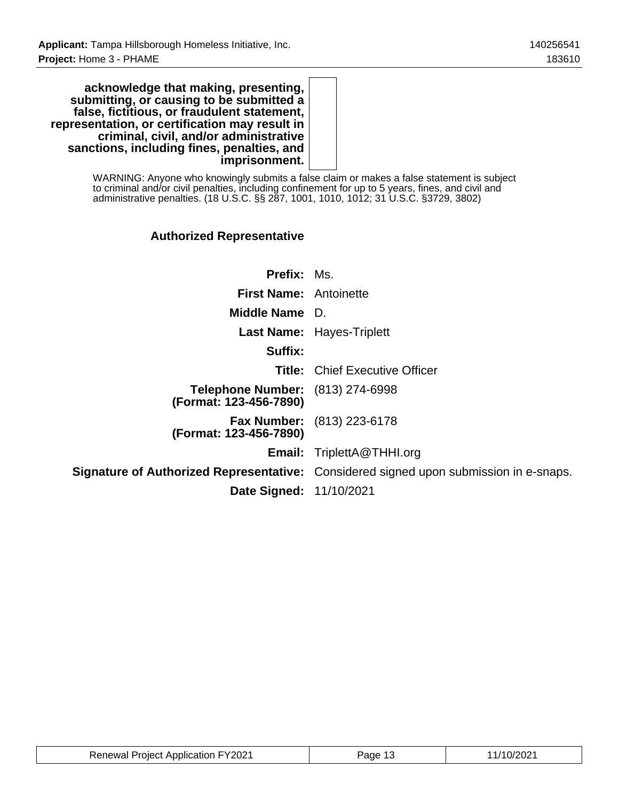**acknowledge that making, presenting, submitting, or causing to be submitted a false, fictitious, or fraudulent statement, representation, or certification may result in criminal, civil, and/or administrative sanctions, including fines, penalties, and imprisonment.**

> WARNING: Anyone who knowingly submits a false claim or makes a false statement is subject to criminal and/or civil penalties, including confinement for up to 5 years, fines, and civil and administrative penalties. (18 U.S.C. §§ 287, 1001, 1010, 1012; 31 U.S.C. §3729, 3802)

#### **Authorized Representative**

| <b>Prefix: Ms.</b>                                                |                                                                                              |
|-------------------------------------------------------------------|----------------------------------------------------------------------------------------------|
| <b>First Name: Antoinette</b>                                     |                                                                                              |
| Middle Name D.                                                    |                                                                                              |
|                                                                   | <b>Last Name: Hayes-Triplett</b>                                                             |
| Suffix:                                                           |                                                                                              |
|                                                                   | <b>Title: Chief Executive Officer</b>                                                        |
| <b>Telephone Number:</b> (813) 274-6998<br>(Format: 123-456-7890) |                                                                                              |
| (Format: 123-456-7890)                                            | <b>Fax Number:</b> (813) 223-6178                                                            |
|                                                                   | <b>Email:</b> TriplettA@THHI.org                                                             |
|                                                                   | <b>Signature of Authorized Representative:</b> Considered signed upon submission in e-snaps. |
| <b>Date Signed: 11/10/2021</b>                                    |                                                                                              |

| <b>Renewal Project Application FY2021</b> | Page | 11/10/2021 |
|-------------------------------------------|------|------------|
|-------------------------------------------|------|------------|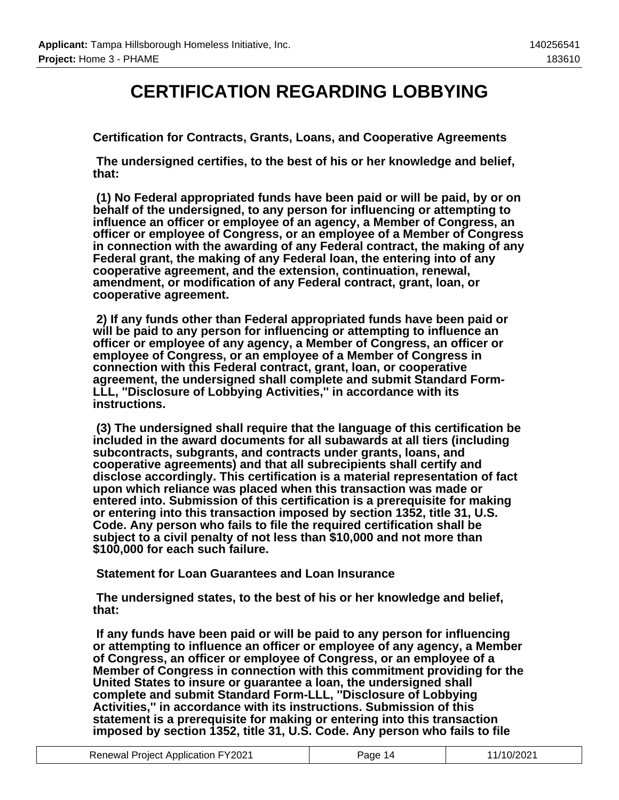### **CERTIFICATION REGARDING LOBBYING**

**Certification for Contracts, Grants, Loans, and Cooperative Agreements**

 **The undersigned certifies, to the best of his or her knowledge and belief, that:**

 **(1) No Federal appropriated funds have been paid or will be paid, by or on behalf of the undersigned, to any person for influencing or attempting to influence an officer or employee of an agency, a Member of Congress, an officer or employee of Congress, or an employee of a Member of Congress in connection with the awarding of any Federal contract, the making of any Federal grant, the making of any Federal loan, the entering into of any cooperative agreement, and the extension, continuation, renewal, amendment, or modification of any Federal contract, grant, loan, or cooperative agreement.**

 **2) If any funds other than Federal appropriated funds have been paid or will be paid to any person for influencing or attempting to influence an officer or employee of any agency, a Member of Congress, an officer or employee of Congress, or an employee of a Member of Congress in connection with this Federal contract, grant, loan, or cooperative agreement, the undersigned shall complete and submit Standard Form-LLL, ''Disclosure of Lobbying Activities,'' in accordance with its instructions.**

 **(3) The undersigned shall require that the language of this certification be included in the award documents for all subawards at all tiers (including subcontracts, subgrants, and contracts under grants, loans, and cooperative agreements) and that all subrecipients shall certify and disclose accordingly. This certification is a material representation of fact upon which reliance was placed when this transaction was made or entered into. Submission of this certification is a prerequisite for making or entering into this transaction imposed by section 1352, title 31, U.S. Code. Any person who fails to file the required certification shall be subject to a civil penalty of not less than \$10,000 and not more than \$100,000 for each such failure.**

 **Statement for Loan Guarantees and Loan Insurance**

 **The undersigned states, to the best of his or her knowledge and belief, that:**

 **If any funds have been paid or will be paid to any person for influencing or attempting to influence an officer or employee of any agency, a Member of Congress, an officer or employee of Congress, or an employee of a Member of Congress in connection with this commitment providing for the United States to insure or guarantee a loan, the undersigned shall complete and submit Standard Form-LLL, ''Disclosure of Lobbying Activities,'' in accordance with its instructions. Submission of this statement is a prerequisite for making or entering into this transaction imposed by section 1352, title 31, U.S. Code. Any person who fails to file**

| <b>Renewal Project Application FY2021</b> | Page 14 | 11/10/2021 |
|-------------------------------------------|---------|------------|
|-------------------------------------------|---------|------------|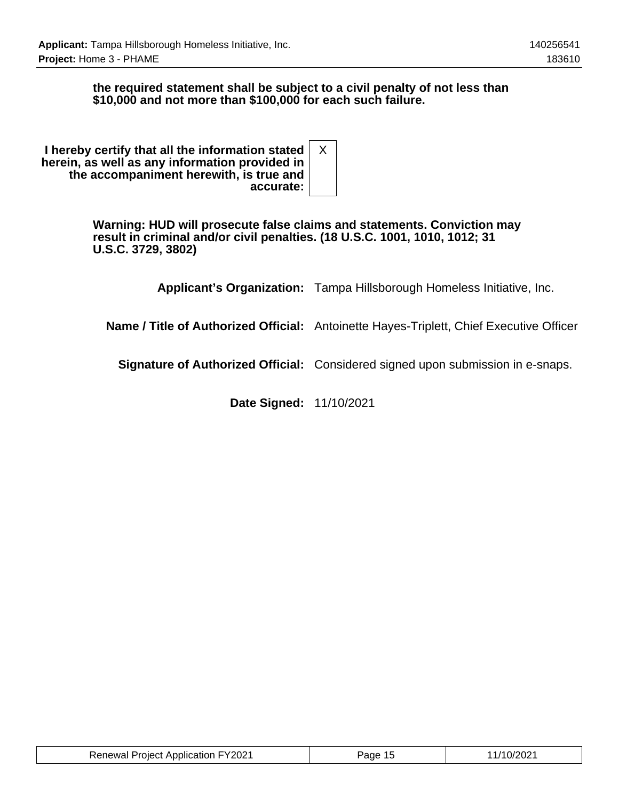#### **the required statement shall be subject to a civil penalty of not less than \$10,000 and not more than \$100,000 for each such failure.**

| I hereby certify that all the information stated<br>herein, as well as any information provided in<br>the accompaniment herewith, is true and |  |
|-----------------------------------------------------------------------------------------------------------------------------------------------|--|
| accurate:                                                                                                                                     |  |

**Warning: HUD will prosecute false claims and statements. Conviction may result in criminal and/or civil penalties. (18 U.S.C. 1001, 1010, 1012; 31 U.S.C. 3729, 3802)**

**Applicant's Organization:** Tampa Hillsborough Homeless Initiative, Inc.

**Name / Title of Authorized Official:** Antoinette Hayes-Triplett, Chief Executive Officer

**Signature of Authorized Official:** Considered signed upon submission in e-snaps.

**Date Signed:** 11/10/2021

| <b>Renewal Project Application FY2021</b> | Page 15 | 11/10/2021 |
|-------------------------------------------|---------|------------|
|-------------------------------------------|---------|------------|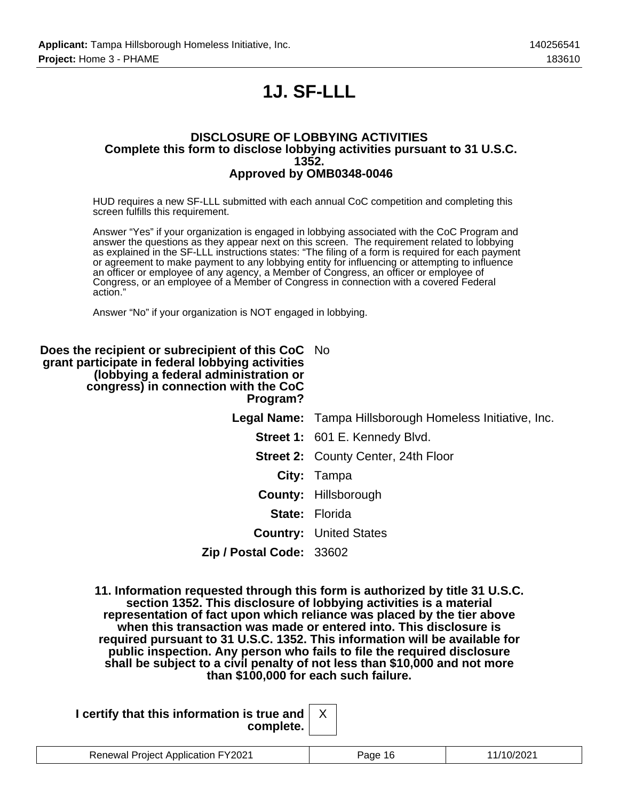# **1J. SF-LLL**

#### **DISCLOSURE OF LOBBYING ACTIVITIES Complete this form to disclose lobbying activities pursuant to 31 U.S.C. 1352. Approved by OMB0348-0046**

HUD requires a new SF-LLL submitted with each annual CoC competition and completing this screen fulfills this requirement.

Answer "Yes" if your organization is engaged in lobbying associated with the CoC Program and answer the questions as they appear next on this screen. The requirement related to lobbying as explained in the SF-LLL instructions states: "The filing of a form is required for each payment or agreement to make payment to any lobbying entity for influencing or attempting to influence an officer or employee of any agency, a Member of Congress, an officer or employee of Congress, or an employee of a Member of Congress in connection with a covered Federal action."

Answer "No" if your organization is NOT engaged in lobbying.

| <b>Does the recipient or subrecipient of this CoC</b> No<br>grant participate in federal lobbying activities<br>(lobbying a federal administration or<br>congress) in connection with the CoC<br>Program? |                                                                 |
|-----------------------------------------------------------------------------------------------------------------------------------------------------------------------------------------------------------|-----------------------------------------------------------------|
|                                                                                                                                                                                                           | <b>Legal Name:</b> Tampa Hillsborough Homeless Initiative, Inc. |
|                                                                                                                                                                                                           | <b>Street 1:</b> 601 E. Kennedy Blvd.                           |
|                                                                                                                                                                                                           | <b>Street 2: County Center, 24th Floor</b>                      |
|                                                                                                                                                                                                           | City: Tampa                                                     |
|                                                                                                                                                                                                           | <b>County: Hillsborough</b>                                     |
|                                                                                                                                                                                                           | <b>State:</b> Florida                                           |
|                                                                                                                                                                                                           | <b>Country: United States</b>                                   |
| Zip / Postal Code: 33602                                                                                                                                                                                  |                                                                 |

**11. Information requested through this form is authorized by title 31 U.S.C. section 1352. This disclosure of lobbying activities is a material representation of fact upon which reliance was placed by the tier above when this transaction was made or entered into. This disclosure is required pursuant to 31 U.S.C. 1352. This information will be available for public inspection. Any person who fails to file the required disclosure shall be subject to a civil penalty of not less than \$10,000 and not more than \$100,000 for each such failure.**

| I certify that this information is true and |  |
|---------------------------------------------|--|
| complete.                                   |  |

| <b>Renewal Project Application FY2021</b> | $\sim$ $\sim$<br>ane. |  |
|-------------------------------------------|-----------------------|--|
|                                           |                       |  |

X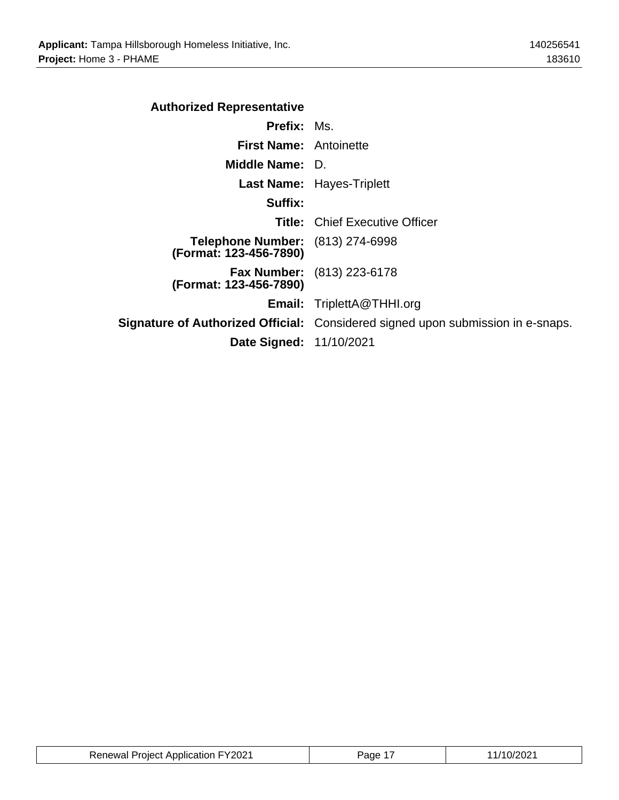| <b>Prefix: Ms.</b>                                                              |
|---------------------------------------------------------------------------------|
| <b>First Name: Antoinette</b>                                                   |
| Middle Name: D.                                                                 |
| <b>Last Name: Hayes-Triplett</b>                                                |
|                                                                                 |
| <b>Title:</b> Chief Executive Officer                                           |
| <b>Telephone Number:</b> (813) 274-6998                                         |
| <b>Fax Number:</b> (813) 223-6178                                               |
| <b>Email:</b> TriplettA@THHI.org                                                |
| Signature of Authorized Official: Considered signed upon submission in e-snaps. |
| <b>Date Signed: 11/10/2021</b>                                                  |
|                                                                                 |

| <b>Renewal Project Application FY2021</b> | Page | /10/2021 |
|-------------------------------------------|------|----------|
|-------------------------------------------|------|----------|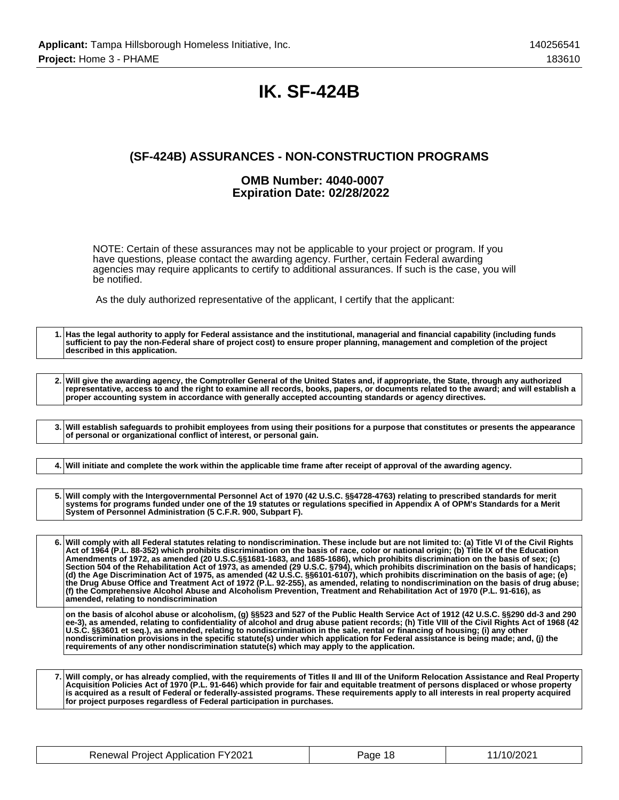### **IK. SF-424B**

#### **(SF-424B) ASSURANCES - NON-CONSTRUCTION PROGRAMS**

#### **OMB Number: 4040-0007 Expiration Date: 02/28/2022**

NOTE: Certain of these assurances may not be applicable to your project or program. If you have questions, please contact the awarding agency. Further, certain Federal awarding agencies may require applicants to certify to additional assurances. If such is the case, you will be notified.

As the duly authorized representative of the applicant, I certify that the applicant:

**1. Has the legal authority to apply for Federal assistance and the institutional, managerial and financial capability (including funds sufficient to pay the non-Federal share of project cost) to ensure proper planning, management and completion of the project described in this application. 2. Will give the awarding agency, the Comptroller General of the United States and, if appropriate, the State, through any authorized representative, access to and the right to examine all records, books, papers, or documents related to the award; and will establish a proper accounting system in accordance with generally accepted accounting standards or agency directives. 3. Will establish safeguards to prohibit employees from using their positions for a purpose that constitutes or presents the appearance of personal or organizational conflict of interest, or personal gain. 4. Will initiate and complete the work within the applicable time frame after receipt of approval of the awarding agency. 5. Will comply with the Intergovernmental Personnel Act of 1970 (42 U.S.C. §§4728-4763) relating to prescribed standards for merit systems for programs funded under one of the 19 statutes or regulations specified in Appendix A of OPM's Standards for a Merit System of Personnel Administration (5 C.F.R. 900, Subpart F). 6. Will comply with all Federal statutes relating to nondiscrimination. These include but are not limited to: (a) Title VI of the Civil Rights Act of 1964 (P.L. 88-352) which prohibits discrimination on the basis of race, color or national origin; (b) Title IX of the Education Amendments of 1972, as amended (20 U.S.C.§§1681-1683, and 1685-1686), which prohibits discrimination on the basis of sex; (c) Section 504 of the Rehabilitation Act of 1973, as amended (29 U.S.C. §794), which prohibits discrimination on the basis of handicaps; (d) the Age Discrimination Act of 1975, as amended (42 U.S.C. §§6101-6107), which prohibits discrimination on the basis of age; (e) the Drug Abuse Office and Treatment Act of 1972 (P.L. 92-255), as amended, relating to nondiscrimination on the basis of drug abuse; (f) the Comprehensive Alcohol Abuse and Alcoholism Prevention, Treatment and Rehabilitation Act of 1970 (P.L. 91-616), as amended, relating to nondiscrimination on the basis of alcohol abuse or alcoholism, (g) §§523 and 527 of the Public Health Service Act of 1912 (42 U.S.C. §§290 dd-3 and 290 ee-3), as amended, relating to confidentiality of alcohol and drug abuse patient records; (h) Title VIII of the Civil Rights Act of 1968 (42 U.S.C. §§3601 et seq.), as amended, relating to nondiscrimination in the sale, rental or financing of housing; (i) any other nondiscrimination provisions in the specific statute(s) under which application for Federal assistance is being made; and, (j) the**

**7. Will comply, or has already complied, with the requirements of Titles II and III of the Uniform Relocation Assistance and Real Property Acquisition Policies Act of 1970 (P.L. 91-646) which provide for fair and equitable treatment of persons displaced or whose property is acquired as a result of Federal or federally-assisted programs. These requirements apply to all interests in real property acquired for project purposes regardless of Federal participation in purchases.**

**requirements of any other nondiscrimination statute(s) which may apply to the application.**

| <b>Renewal Project Application FY2021</b> | Page 18 | 11/10/2021 |
|-------------------------------------------|---------|------------|
|-------------------------------------------|---------|------------|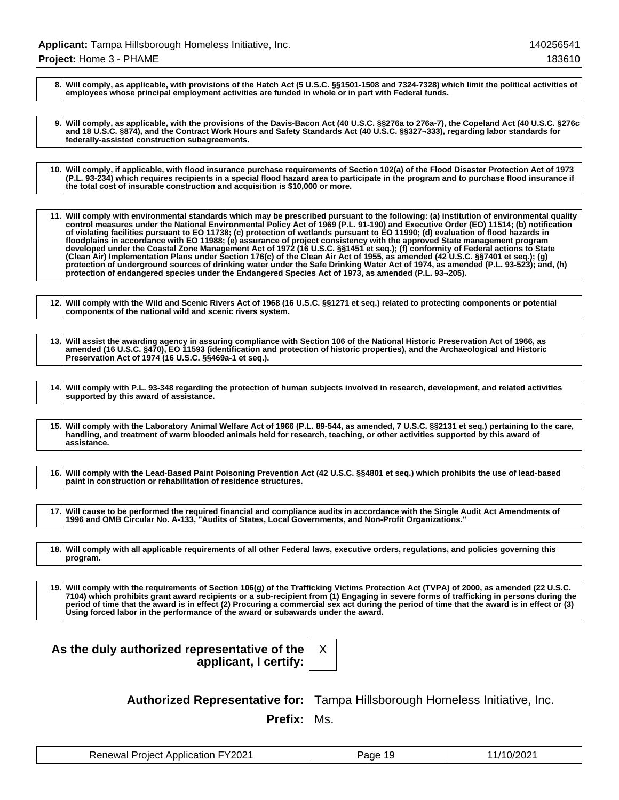**8. Will comply, as applicable, with provisions of the Hatch Act (5 U.S.C. §§1501-1508 and 7324-7328) which limit the political activities of employees whose principal employment activities are funded in whole or in part with Federal funds.**

**9. Will comply, as applicable, with the provisions of the Davis-Bacon Act (40 U.S.C. §§276a to 276a-7), the Copeland Act (40 U.S.C. §276c and 18 U.S.C. §874), and the Contract Work Hours and Safety Standards Act (40 U.S.C. §§327¬333), regarding labor standards for federally-assisted construction subagreements.**

**10. Will comply, if applicable, with flood insurance purchase requirements of Section 102(a) of the Flood Disaster Protection Act of 1973 (P.L. 93-234) which requires recipients in a special flood hazard area to participate in the program and to purchase flood insurance if the total cost of insurable construction and acquisition is \$10,000 or more.**

**11. Will comply with environmental standards which may be prescribed pursuant to the following: (a) institution of environmental quality control measures under the National Environmental Policy Act of 1969 (P.L. 91-190) and Executive Order (EO) 11514; (b) notification of violating facilities pursuant to EO 11738; (c) protection of wetlands pursuant to EO 11990; (d) evaluation of flood hazards in floodplains in accordance with EO 11988; (e) assurance of project consistency with the approved State management program developed under the Coastal Zone Management Act of 1972 (16 U.S.C. §§1451 et seq.); (f) conformity of Federal actions to State (Clean Air) Implementation Plans under Section 176(c) of the Clean Air Act of 1955, as amended (42 U.S.C. §§7401 et seq.); (g) protection of underground sources of drinking water under the Safe Drinking Water Act of 1974, as amended (P.L. 93-523); and, (h) protection of endangered species under the Endangered Species Act of 1973, as amended (P.L. 93¬205).**

**12. Will comply with the Wild and Scenic Rivers Act of 1968 (16 U.S.C. §§1271 et seq.) related to protecting components or potential components of the national wild and scenic rivers system.**

**13. Will assist the awarding agency in assuring compliance with Section 106 of the National Historic Preservation Act of 1966, as amended (16 U.S.C. §470), EO 11593 (identification and protection of historic properties), and the Archaeological and Historic Preservation Act of 1974 (16 U.S.C. §§469a-1 et seq.).**

**14. Will comply with P.L. 93-348 regarding the protection of human subjects involved in research, development, and related activities supported by this award of assistance.**

**15. Will comply with the Laboratory Animal Welfare Act of 1966 (P.L. 89-544, as amended, 7 U.S.C. §§2131 et seq.) pertaining to the care, handling, and treatment of warm blooded animals held for research, teaching, or other activities supported by this award of assistance.**

**16. Will comply with the Lead-Based Paint Poisoning Prevention Act (42 U.S.C. §§4801 et seq.) which prohibits the use of lead-based paint in construction or rehabilitation of residence structures.**

**17. Will cause to be performed the required financial and compliance audits in accordance with the Single Audit Act Amendments of 1996 and OMB Circular No. A-133, "Audits of States, Local Governments, and Non-Profit Organizations."**

**18. Will comply with all applicable requirements of all other Federal laws, executive orders, regulations, and policies governing this program.**

**19. Will comply with the requirements of Section 106(g) of the Trafficking Victims Protection Act (TVPA) of 2000, as amended (22 U.S.C. 7104) which prohibits grant award recipients or a sub-recipient from (1) Engaging in severe forms of trafficking in persons during the period of time that the award is in effect (2) Procuring a commercial sex act during the period of time that the award is in effect or (3) Using forced labor in the performance of the award or subawards under the award.**

| As the duly authorized representative of the |                       |  |
|----------------------------------------------|-----------------------|--|
|                                              | applicant, I certify: |  |

X

**Authorized Representative for:** Tampa Hillsborough Homeless Initiative, Inc.

**Prefix:** Ms.

| <b>Renewal Project Application FY2021</b> | Page 19 | 11/10/2021 |
|-------------------------------------------|---------|------------|
|-------------------------------------------|---------|------------|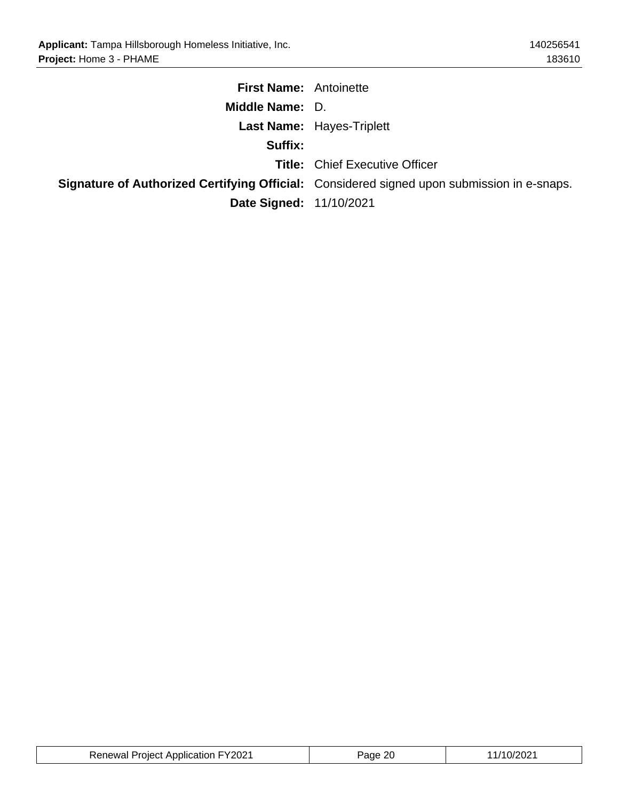| <b>First Name: Antoinette</b> |                                                                                                   |
|-------------------------------|---------------------------------------------------------------------------------------------------|
| Middle Name: D.               |                                                                                                   |
|                               | <b>Last Name: Hayes-Triplett</b>                                                                  |
| Suffix:                       |                                                                                                   |
|                               | <b>Title: Chief Executive Officer</b>                                                             |
|                               | <b>Signature of Authorized Certifying Official:</b> Considered signed upon submission in e-snaps. |
| Date Signed: 11/10/2021       |                                                                                                   |

| <b>Renewal Project Application FY2021</b> |  | 10/202' |
|-------------------------------------------|--|---------|
|-------------------------------------------|--|---------|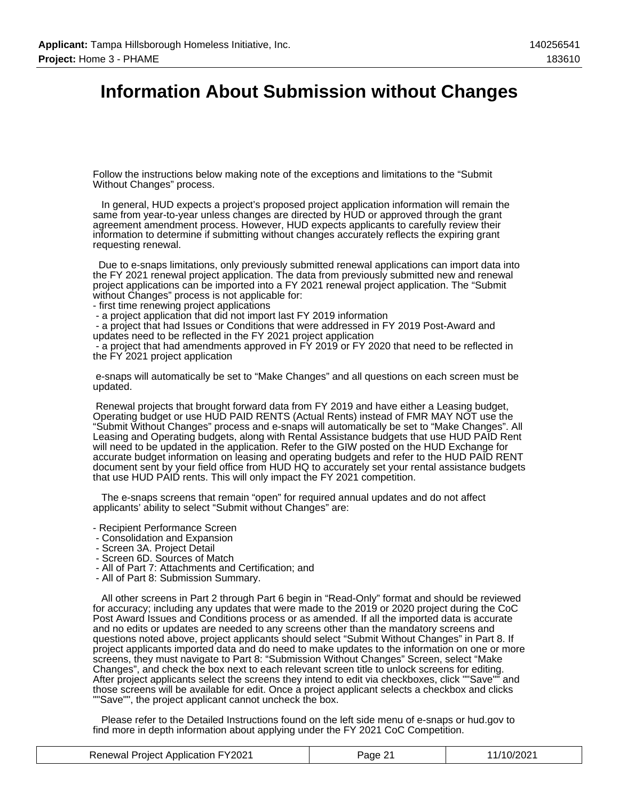### **Information About Submission without Changes**

Follow the instructions below making note of the exceptions and limitations to the "Submit Without Changes" process.

 In general, HUD expects a project's proposed project application information will remain the same from year-to-year unless changes are directed by HUD or approved through the grant agreement amendment process. However, HUD expects applicants to carefully review their information to determine if submitting without changes accurately reflects the expiring grant requesting renewal.

 Due to e-snaps limitations, only previously submitted renewal applications can import data into the FY 2021 renewal project application. The data from previously submitted new and renewal project applications can be imported into a FY 2021 renewal project application. The "Submit without Changes" process is not applicable for:

- first time renewing project applications
- a project application that did not import last FY 2019 information

 - a project that had Issues or Conditions that were addressed in FY 2019 Post-Award and updates need to be reflected in the FY 2021 project application

 - a project that had amendments approved in FY 2019 or FY 2020 that need to be reflected in the FY 2021 project application

 e-snaps will automatically be set to "Make Changes" and all questions on each screen must be updated.

 Renewal projects that brought forward data from FY 2019 and have either a Leasing budget, Operating budget or use HUD PAID RENTS (Actual Rents) instead of FMR MAY NOT use the "Submit Without Changes" process and e-snaps will automatically be set to "Make Changes". All Leasing and Operating budgets, along with Rental Assistance budgets that use HUD PAID Rent will need to be updated in the application. Refer to the GIW posted on the HUD Exchange for accurate budget information on leasing and operating budgets and refer to the HUD PAID RENT document sent by your field office from HUD HQ to accurately set your rental assistance budgets that use HUD PAID rents. This will only impact the FY 2021 competition.

 The e-snaps screens that remain "open" for required annual updates and do not affect applicants' ability to select "Submit without Changes" are:

- Recipient Performance Screen
- Consolidation and Expansion
- Screen 3A. Project Detail
- Screen 6D. Sources of Match
- All of Part 7: Attachments and Certification; and
- All of Part 8: Submission Summary.

 All other screens in Part 2 through Part 6 begin in "Read-Only" format and should be reviewed for accuracy; including any updates that were made to the 2019 or 2020 project during the CoC Post Award Issues and Conditions process or as amended. If all the imported data is accurate and no edits or updates are needed to any screens other than the mandatory screens and questions noted above, project applicants should select "Submit Without Changes" in Part 8. If project applicants imported data and do need to make updates to the information on one or more screens, they must navigate to Part 8: "Submission Without Changes" Screen, select "Make Changes", and check the box next to each relevant screen title to unlock screens for editing. After project applicants select the screens they intend to edit via checkboxes, click ""Save"" and those screens will be available for edit. Once a project applicant selects a checkbox and clicks ""Save"", the project applicant cannot uncheck the box.

 Please refer to the Detailed Instructions found on the left side menu of e-snaps or hud.gov to find more in depth information about applying under the FY 2021 CoC Competition.

| <b>Renewal Project Application FY2021</b> | Page 21 | 11/10/2021 |
|-------------------------------------------|---------|------------|
|-------------------------------------------|---------|------------|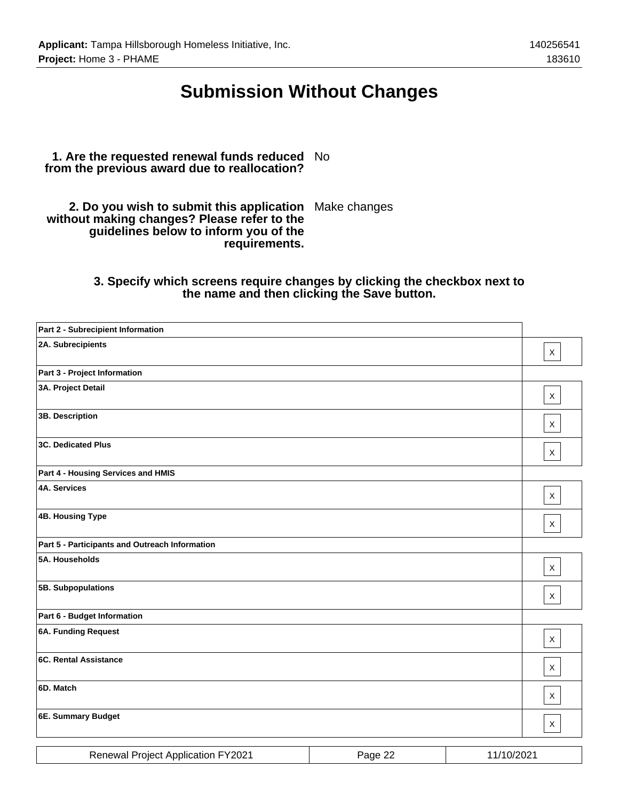## **Submission Without Changes**

#### **1. Are the requested renewal funds reduced** No **from the previous award due to reallocation?**

**2. Do you wish to submit this application** Make changes **without making changes? Please refer to the guidelines below to inform you of the requirements.**

#### **3. Specify which screens require changes by clicking the checkbox next to the name and then clicking the Save button.**

| Part 2 - Subrecipient Information              |         |            |              |
|------------------------------------------------|---------|------------|--------------|
| 2A. Subrecipients                              |         |            | $\mathsf{X}$ |
| Part 3 - Project Information                   |         |            |              |
| 3A. Project Detail                             |         |            | $\mathsf X$  |
| 3B. Description                                |         |            | $\mathsf{X}$ |
| 3C. Dedicated Plus                             |         |            | $\mathsf{X}$ |
| Part 4 - Housing Services and HMIS             |         |            |              |
| <b>4A. Services</b>                            |         |            | $\mathsf{X}$ |
| <b>4B. Housing Type</b>                        |         |            | $\mathsf X$  |
| Part 5 - Participants and Outreach Information |         |            |              |
| 5A. Households                                 |         |            | $\mathsf{X}$ |
| 5B. Subpopulations                             |         |            | $\times$     |
| Part 6 - Budget Information                    |         |            |              |
| <b>6A. Funding Request</b>                     |         |            | $\mathsf{X}$ |
| <b>6C. Rental Assistance</b>                   |         |            | $\times$     |
| 6D. Match                                      |         |            | $\mathsf X$  |
| 6E. Summary Budget                             |         |            | $\times$     |
| <b>Renewal Project Application FY2021</b>      | Page 22 | 11/10/2021 |              |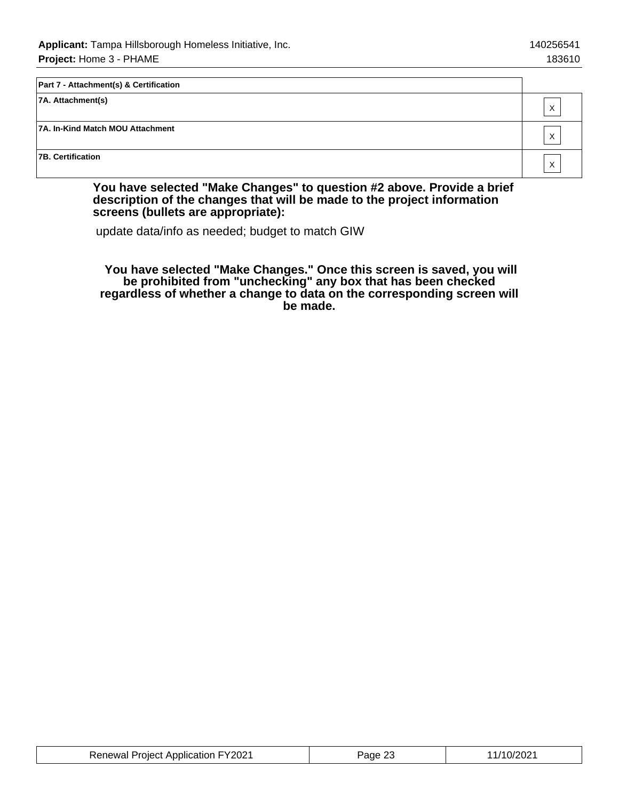| Part 7 - Attachment(s) & Certification |   |
|----------------------------------------|---|
| 7A. Attachment(s)                      | X |
| 7A. In-Kind Match MOU Attachment       | X |
| 7B. Certification                      | X |

**You have selected "Make Changes" to question #2 above. Provide a brief description of the changes that will be made to the project information screens (bullets are appropriate):**

update data/info as needed; budget to match GIW

 **You have selected "Make Changes." Once this screen is saved, you will be prohibited from "unchecking" any box that has been checked regardless of whether a change to data on the corresponding screen will be made.**

| <b>Renewal Project Application FY2021</b> | Page 23 | 11/10/2021 |
|-------------------------------------------|---------|------------|
|-------------------------------------------|---------|------------|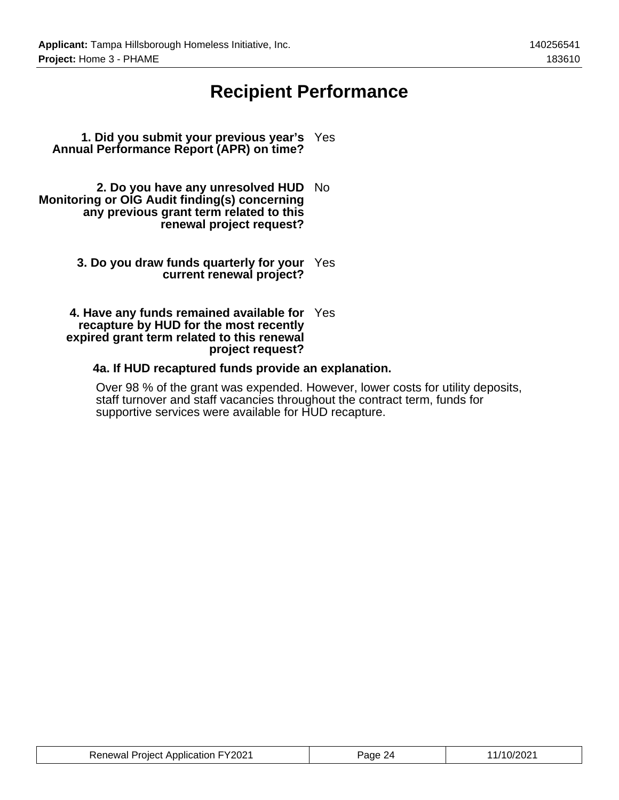### **Recipient Performance**

- **1. Did you submit your previous year's** Yes **Annual Performance Report (APR) on time?**
- **2. Do you have any unresolved HUD** No **Monitoring or OIG Audit finding(s) concerning any previous grant term related to this renewal project request?**
	- **3. Do you draw funds quarterly for your** Yes **current renewal project?**

#### **4. Have any funds remained available for** Yes **recapture by HUD for the most recently expired grant term related to this renewal project request?**

#### **4a. If HUD recaptured funds provide an explanation.**

Over 98 % of the grant was expended. However, lower costs for utility deposits, staff turnover and staff vacancies throughout the contract term, funds for supportive services were available for HUD recapture.

| <b>Renewal Project Application FY2021</b> | Page 24 | 11/10/2021 |
|-------------------------------------------|---------|------------|
|-------------------------------------------|---------|------------|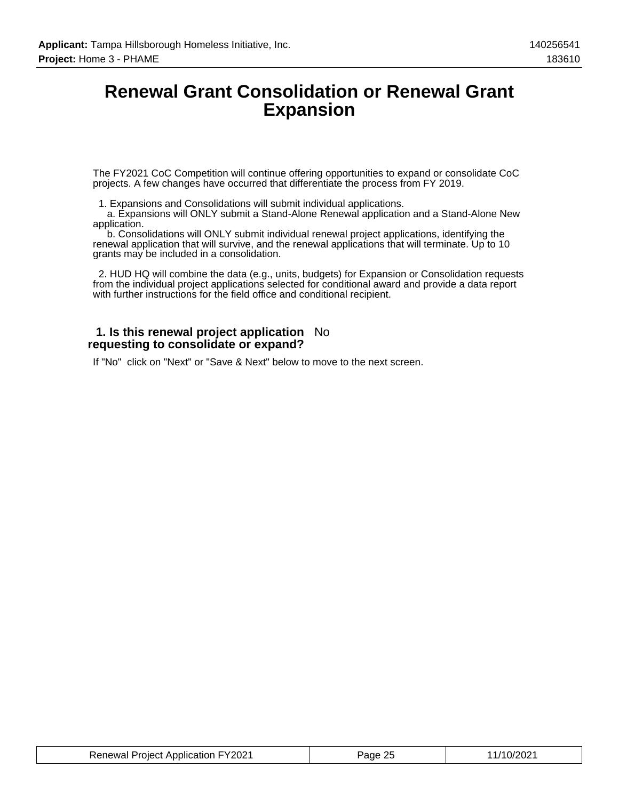### **Renewal Grant Consolidation or Renewal Grant Expansion**

The FY2021 CoC Competition will continue offering opportunities to expand or consolidate CoC projects. A few changes have occurred that differentiate the process from FY 2019.

1. Expansions and Consolidations will submit individual applications.

 a. Expansions will ONLY submit a Stand-Alone Renewal application and a Stand-Alone New application.

 b. Consolidations will ONLY submit individual renewal project applications, identifying the renewal application that will survive, and the renewal applications that will terminate. Up to 10 grants may be included in a consolidation.

 2. HUD HQ will combine the data (e.g., units, budgets) for Expansion or Consolidation requests from the individual project applications selected for conditional award and provide a data report with further instructions for the field office and conditional recipient.

#### **1. Is this renewal project application** No **requesting to consolidate or expand?**

If "No" click on "Next" or "Save & Next" below to move to the next screen.

| <b>Renewal Project Application FY2021</b> | Page 25 | 11/10/2021 |
|-------------------------------------------|---------|------------|
|-------------------------------------------|---------|------------|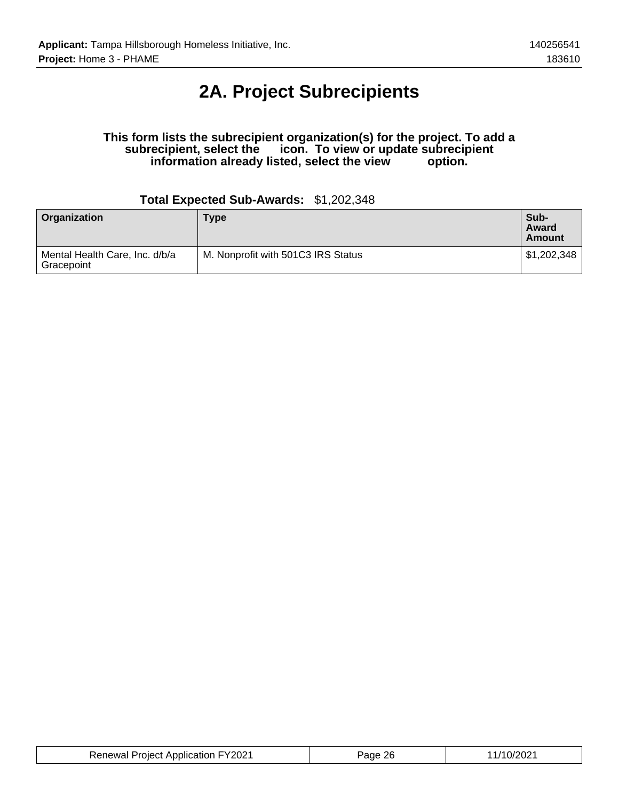# **2A. Project Subrecipients**

#### **This form lists the subrecipient organization(s) for the project. To add a subrecipient, select the icon. To view or update subrecipient information already listed, select the view option.**

| Organization                                 | Type                               | Sub-<br>Award<br>Amount |
|----------------------------------------------|------------------------------------|-------------------------|
| Mental Health Care, Inc. d/b/a<br>Gracepoint | M. Nonprofit with 501C3 IRS Status | \$1,202,348             |

#### **Total Expected Sub-Awards:** \$1,202,348

| uuon FY2021 جانب<br>. Proiect Application.<br>⊰enewal | апе | $^{1/2}$ 021<br>$\mathbf{u}$ |
|-------------------------------------------------------|-----|------------------------------|
|-------------------------------------------------------|-----|------------------------------|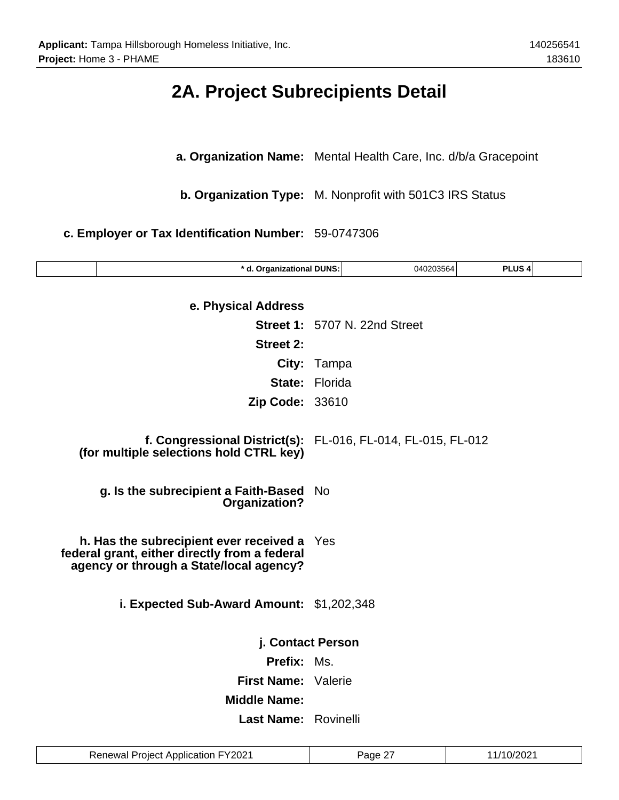### **2A. Project Subrecipients Detail**

**a. Organization Name:** Mental Health Care, Inc. d/b/a Gracepoint

**b. Organization Type:** M. Nonprofit with 501C3 IRS Status

**c. Employer or Tax Identification Number:** 59-0747306

| * d. Organizational DUNS:                                                                                                           |           | 040203564                            | <b>PLUS4</b> |  |
|-------------------------------------------------------------------------------------------------------------------------------------|-----------|--------------------------------------|--------------|--|
| e. Physical Address                                                                                                                 |           |                                      |              |  |
|                                                                                                                                     |           | <b>Street 1: 5707 N. 22nd Street</b> |              |  |
| <b>Street 2:</b>                                                                                                                    |           |                                      |              |  |
| City:                                                                                                                               | Tampa     |                                      |              |  |
| State:                                                                                                                              | Florida   |                                      |              |  |
| Zip Code: 33610                                                                                                                     |           |                                      |              |  |
| f. Congressional District(s): FL-016, FL-014, FL-015, FL-012<br>(for multiple selections hold CTRL key)                             |           |                                      |              |  |
| g. Is the subrecipient a Faith-Based                                                                                                | <b>No</b> |                                      |              |  |
| Organization?                                                                                                                       |           |                                      |              |  |
| h. Has the subrecipient ever received a<br>federal grant, either directly from a federal<br>agency or through a State/local agency? | Yes       |                                      |              |  |
| i. Expected Sub-Award Amount: \$1,202,348                                                                                           |           |                                      |              |  |
|                                                                                                                                     |           |                                      |              |  |
| j. Contact Person                                                                                                                   |           |                                      |              |  |
| <b>Prefix: Ms.</b>                                                                                                                  |           |                                      |              |  |
| <b>First Name: Valerie</b>                                                                                                          |           |                                      |              |  |
| <b>Middle Name:</b>                                                                                                                 |           |                                      |              |  |
| Last Name: Rovinelli                                                                                                                |           |                                      |              |  |
|                                                                                                                                     |           |                                      |              |  |

Renewal Project Application FY2021 | Page 27 | 11/10/2021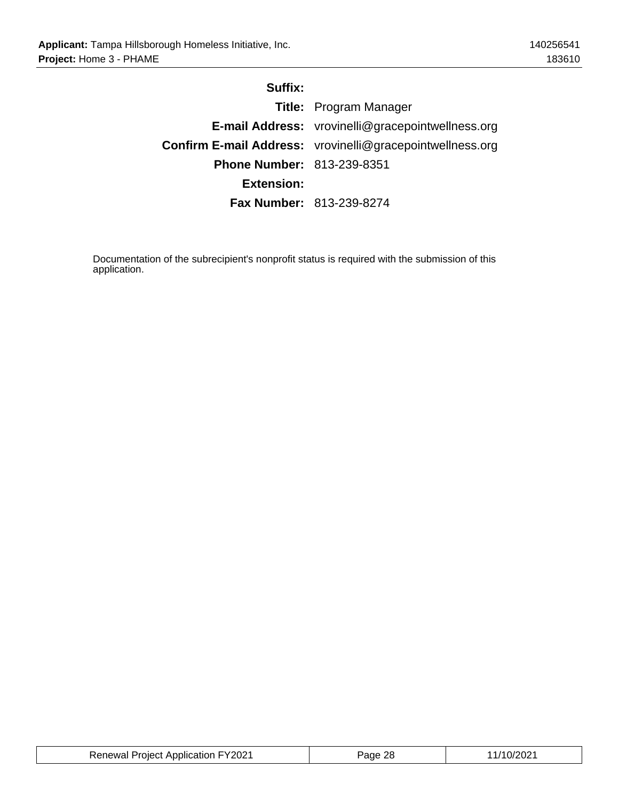| Suffix:                           |                                                                  |
|-----------------------------------|------------------------------------------------------------------|
|                                   | <b>Title:</b> Program Manager                                    |
|                                   | <b>E-mail Address:</b> vrovinelli@gracepointwellness.org         |
|                                   | <b>Confirm E-mail Address:</b> vrovinelli@gracepointwellness.org |
| <b>Phone Number: 813-239-8351</b> |                                                                  |
| <b>Extension:</b>                 |                                                                  |
|                                   | <b>Fax Number: 813-239-8274</b>                                  |

Documentation of the subrecipient's nonprofit status is required with the submission of this application.

| <b>Renewal Project Application FY2021</b> | Page 28 | 11/10/2021 |
|-------------------------------------------|---------|------------|
|-------------------------------------------|---------|------------|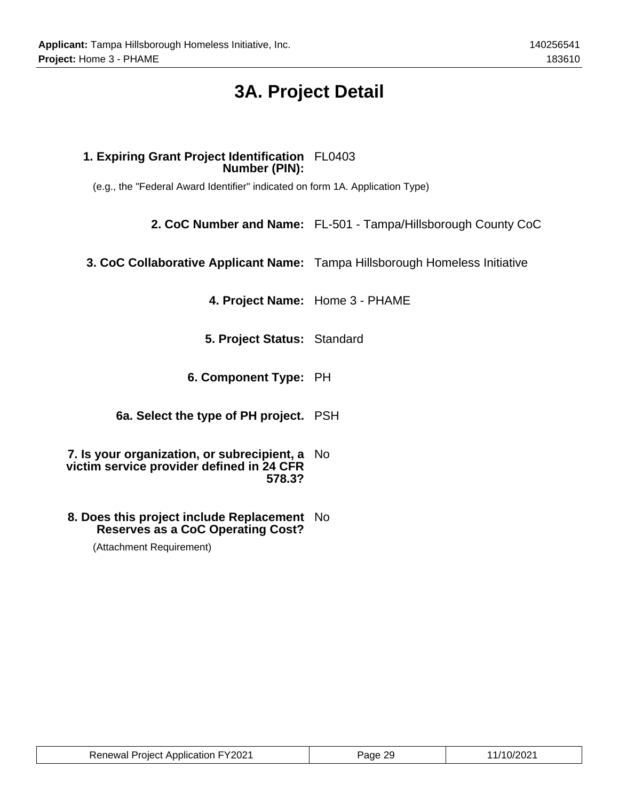# **3A. Project Detail**

#### **1. Expiring Grant Project Identification** FL0403 **Number (PIN):**

(e.g., the "Federal Award Identifier" indicated on form 1A. Application Type)

**2. CoC Number and Name:** FL-501 - Tampa/Hillsborough County CoC

**3. CoC Collaborative Applicant Name:** Tampa Hillsborough Homeless Initiative

**4. Project Name:** Home 3 - PHAME

- **5. Project Status:** Standard
- **6. Component Type:** PH
- **6a. Select the type of PH project.** PSH
- **7. Is your organization, or subrecipient, a** No **victim service provider defined in 24 CFR 578.3?**
- **8. Does this project include Replacement** No **Reserves as a CoC Operating Cost?**

(Attachment Requirement)

| <b>Renewal Project Application FY2021</b> | Page 29 | 11/10/2021 |
|-------------------------------------------|---------|------------|
|-------------------------------------------|---------|------------|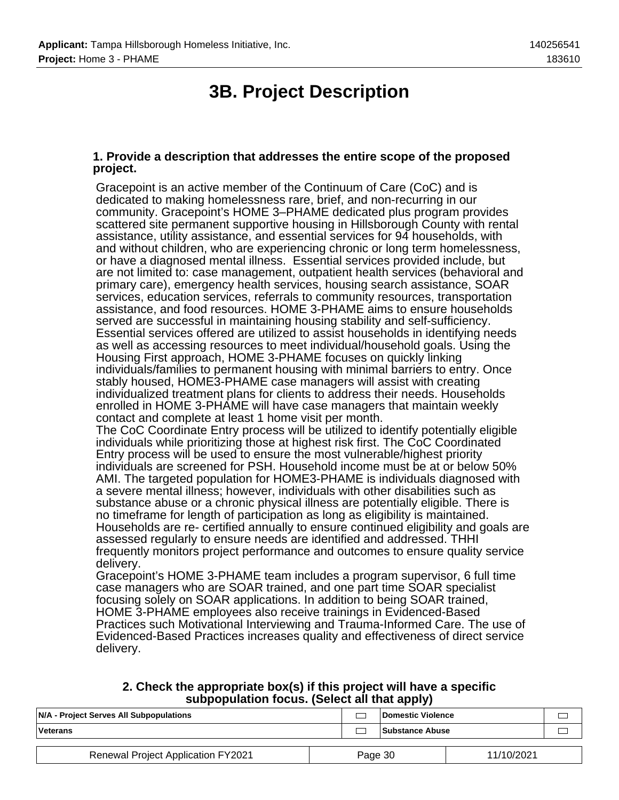# **3B. Project Description**

#### **1. Provide a description that addresses the entire scope of the proposed project.**

Gracepoint is an active member of the Continuum of Care (CoC) and is dedicated to making homelessness rare, brief, and non-recurring in our community. Gracepoint's HOME 3–PHAME dedicated plus program provides scattered site permanent supportive housing in Hillsborough County with rental assistance, utility assistance, and essential services for 94 households, with and without children, who are experiencing chronic or long term homelessness, or have a diagnosed mental illness. Essential services provided include, but are not limited to: case management, outpatient health services (behavioral and primary care), emergency health services, housing search assistance, SOAR services, education services, referrals to community resources, transportation assistance, and food resources. HOME 3-PHAME aims to ensure households served are successful in maintaining housing stability and self-sufficiency. Essential services offered are utilized to assist households in identifying needs as well as accessing resources to meet individual/household goals. Using the Housing First approach, HOME 3-PHAME focuses on quickly linking individuals/families to permanent housing with minimal barriers to entry. Once stably housed, HOME3-PHAME case managers will assist with creating individualized treatment plans for clients to address their needs. Households enrolled in HOME 3-PHAME will have case managers that maintain weekly contact and complete at least 1 home visit per month. The CoC Coordinate Entry process will be utilized to identify potentially eligible individuals while prioritizing those at highest risk first. The CoC Coordinated Entry process will be used to ensure the most vulnerable/highest priority individuals are screened for PSH. Household income must be at or below 50% AMI. The targeted population for HOME3-PHAME is individuals diagnosed with a severe mental illness; however, individuals with other disabilities such as substance abuse or a chronic physical illness are potentially eligible. There is no timeframe for length of participation as long as eligibility is maintained. Households are re- certified annually to ensure continued eligibility and goals are assessed regularly to ensure needs are identified and addressed. THHI

frequently monitors project performance and outcomes to ensure quality service delivery.

Gracepoint's HOME 3-PHAME team includes a program supervisor, 6 full time case managers who are SOAR trained, and one part time SOAR specialist focusing solely on SOAR applications. In addition to being SOAR trained, HOME 3-PHAME employees also receive trainings in Evidenced-Based Practices such Motivational Interviewing and Trauma-Informed Care. The use of Evidenced-Based Practices increases quality and effectiveness of direct service delivery.

| 2. Check the appropriate box(s) if this project will have a specific |
|----------------------------------------------------------------------|
| subpopulation focus. (Select all that apply)                         |

| N/A - Project Serves All Subpopulations<br><b>Veterans</b> |  | Domestic Violence<br><b>Substance Abuse</b> |  |            |  |
|------------------------------------------------------------|--|---------------------------------------------|--|------------|--|
|                                                            |  |                                             |  |            |  |
|                                                            |  |                                             |  |            |  |
| <b>Renewal Project Application FY2021</b>                  |  | Page 30                                     |  | 11/10/2021 |  |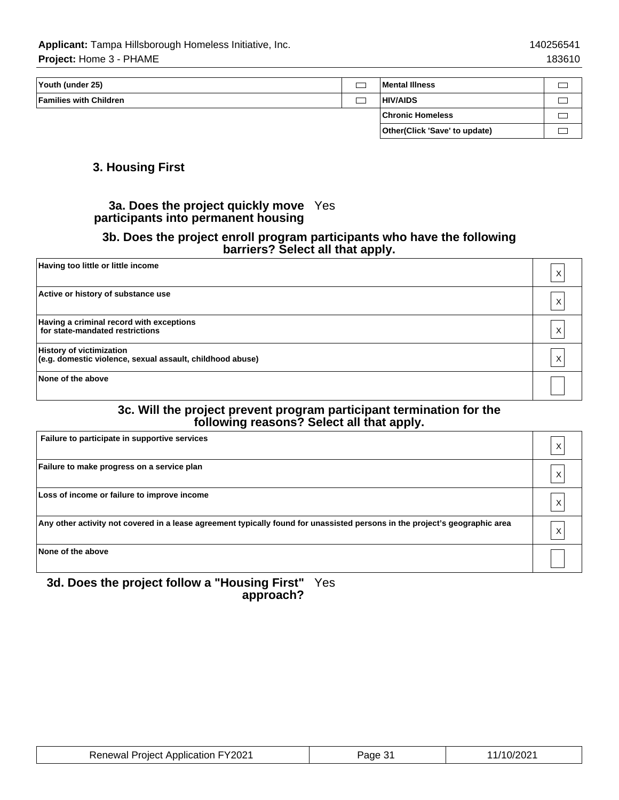| Youth (under 25)              | Mental Illness                        |  |
|-------------------------------|---------------------------------------|--|
| <b>Families with Children</b> | <b>HIV/AIDS</b>                       |  |
|                               | <b>Chronic Homeless</b>               |  |
|                               | <b>Other (Click 'Save' to update)</b> |  |

### **3. Housing First**

#### **3a. Does the project quickly move** Yes **participants into permanent housing**

#### **3b. Does the project enroll program participants who have the following barriers? Select all that apply.**

| Having too little or little income                                                           | X |
|----------------------------------------------------------------------------------------------|---|
| Active or history of substance use                                                           | X |
| Having a criminal record with exceptions<br>for state-mandated restrictions                  | X |
| <b>History of victimization</b><br>(e.g. domestic violence, sexual assault, childhood abuse) | X |
| None of the above                                                                            |   |

#### **3c. Will the project prevent program participant termination for the following reasons? Select all that apply.**

| Failure to participate in supportive services                                                                               |   |
|-----------------------------------------------------------------------------------------------------------------------------|---|
| Failure to make progress on a service plan                                                                                  |   |
| Loss of income or failure to improve income                                                                                 | X |
| Any other activity not covered in a lease agreement typically found for unassisted persons in the project's geographic area |   |
| None of the above                                                                                                           |   |

#### **3d. Does the project follow a "Housing First"** Yes **approach?**

| <b>Renewal Project Application FY2021</b> | Page 31 | 11/10/2021 |
|-------------------------------------------|---------|------------|
|-------------------------------------------|---------|------------|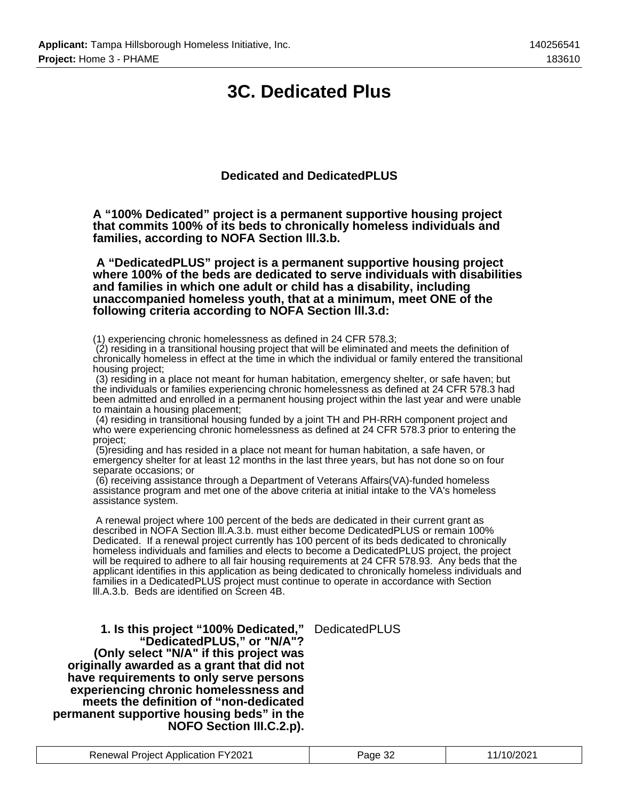# **3C. Dedicated Plus**

**Dedicated and DedicatedPLUS**

**A "100% Dedicated" project is a permanent supportive housing project that commits 100% of its beds to chronically homeless individuals and families, according to NOFA Section lll.3.b.**

 **A "DedicatedPLUS" project is a permanent supportive housing project where 100% of the beds are dedicated to serve individuals with disabilities and families in which one adult or child has a disability, including unaccompanied homeless youth, that at a minimum, meet ONE of the following criteria according to NOFA Section lll.3.d:**

(1) experiencing chronic homelessness as defined in 24 CFR 578.3;

 (2) residing in a transitional housing project that will be eliminated and meets the definition of chronically homeless in effect at the time in which the individual or family entered the transitional housing project;

 (3) residing in a place not meant for human habitation, emergency shelter, or safe haven; but the individuals or families experiencing chronic homelessness as defined at 24 CFR 578.3 had been admitted and enrolled in a permanent housing project within the last year and were unable to maintain a housing placement;

 (4) residing in transitional housing funded by a joint TH and PH-RRH component project and who were experiencing chronic homelessness as defined at 24 CFR 578.3 prior to entering the project;

 (5)residing and has resided in a place not meant for human habitation, a safe haven, or emergency shelter for at least 12 months in the last three years, but has not done so on four separate occasions; or

 (6) receiving assistance through a Department of Veterans Affairs(VA)-funded homeless assistance program and met one of the above criteria at initial intake to the VA's homeless assistance system.

 A renewal project where 100 percent of the beds are dedicated in their current grant as described in NOFA Section lll.A.3.b. must either become DedicatedPLUS or remain 100% Dedicated. If a renewal project currently has 100 percent of its beds dedicated to chronically homeless individuals and families and elects to become a DedicatedPLUS project, the project will be required to adhere to all fair housing requirements at 24 CFR 578.93. Any beds that the applicant identifies in this application as being dedicated to chronically homeless individuals and families in a DedicatedPLUS project must continue to operate in accordance with Section lll.A.3.b. Beds are identified on Screen 4B.

**1. Is this project "100% Dedicated," "DedicatedPLUS," or "N/A"? (Only select "N/A" if this project was originally awarded as a grant that did not have requirements to only serve persons experiencing chronic homelessness and meets the definition of "non-dedicated permanent supportive housing beds" in the NOFO Section III.C.2.p).** DedicatedPLUS

| <b>Renewal Project Application FY2021</b> | Page 32 | 11/10/2021 |
|-------------------------------------------|---------|------------|
|-------------------------------------------|---------|------------|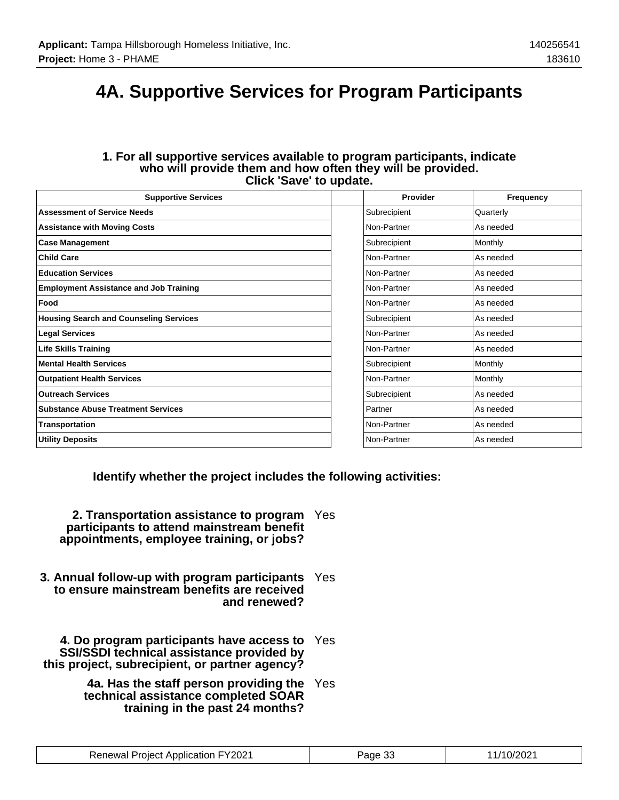# **4A. Supportive Services for Program Participants**

#### **1. For all supportive services available to program participants, indicate who will provide them and how often they will be provided. Click 'Save' to update.**

| <b>Supportive Services</b>                    | <b>Provider</b> | Frequency |
|-----------------------------------------------|-----------------|-----------|
| <b>Assessment of Service Needs</b>            | Subrecipient    | Quarterly |
| <b>Assistance with Moving Costs</b>           | Non-Partner     | As needed |
| <b>Case Management</b>                        | Subrecipient    | Monthly   |
| <b>Child Care</b>                             | Non-Partner     | As needed |
| <b>Education Services</b>                     | Non-Partner     | As needed |
| <b>Employment Assistance and Job Training</b> | Non-Partner     | As needed |
| Food                                          | Non-Partner     | As needed |
| <b>Housing Search and Counseling Services</b> | Subrecipient    | As needed |
| <b>Legal Services</b>                         | Non-Partner     | As needed |
| <b>Life Skills Training</b>                   | Non-Partner     | As needed |
| <b>Mental Health Services</b>                 | Subrecipient    | Monthly   |
| <b>Outpatient Health Services</b>             | Non-Partner     | Monthly   |
| <b>Outreach Services</b>                      | Subrecipient    | As needed |
| <b>Substance Abuse Treatment Services</b>     | Partner         | As needed |
| <b>Transportation</b>                         | Non-Partner     | As needed |
| <b>Utility Deposits</b>                       | Non-Partner     | As needed |

**Identify whether the project includes the following activities:**

| 2. Transportation assistance to program<br>participants to attend mainstream benefit<br>appointments, employee training, or jobs?            | Yes |
|----------------------------------------------------------------------------------------------------------------------------------------------|-----|
| 3. Annual follow-up with program participants<br>to ensure mainstream benefits are received<br>and renewed?                                  | Yes |
| 4. Do program participants have access to Yes<br>SSI/SSDI technical assistance provided by<br>this project, subrecipient, or partner agency? |     |
| 4a. Has the staff person providing the<br>technical assistance completed SOAR<br>training in the past 24 months?                             | Yes |

| <b>Renewal Project Application FY2021</b> | Page 33 | 11/10/2021 |
|-------------------------------------------|---------|------------|
|-------------------------------------------|---------|------------|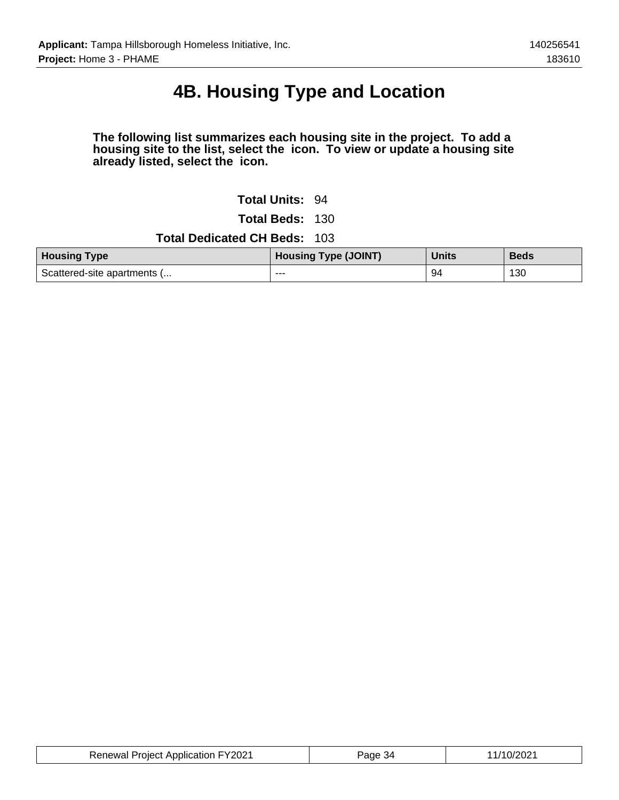# **4B. Housing Type and Location**

#### **The following list summarizes each housing site in the project. To add a housing site to the list, select the icon. To view or update a housing site already listed, select the icon.**

**Total Units:** 94

**Total Beds:** 130

#### **Total Dedicated CH Beds:** 103

| <b>Housing Type</b>         | <b>Housing Type (JOINT)</b> | <b>Units</b> | <b>Beds</b> |
|-----------------------------|-----------------------------|--------------|-------------|
| Scattered-site apartments ( | ---                         | 94           | 130         |

| <b>Renewal Project Application FY2021</b> | Page 34 | 11/10/2021 |
|-------------------------------------------|---------|------------|
|-------------------------------------------|---------|------------|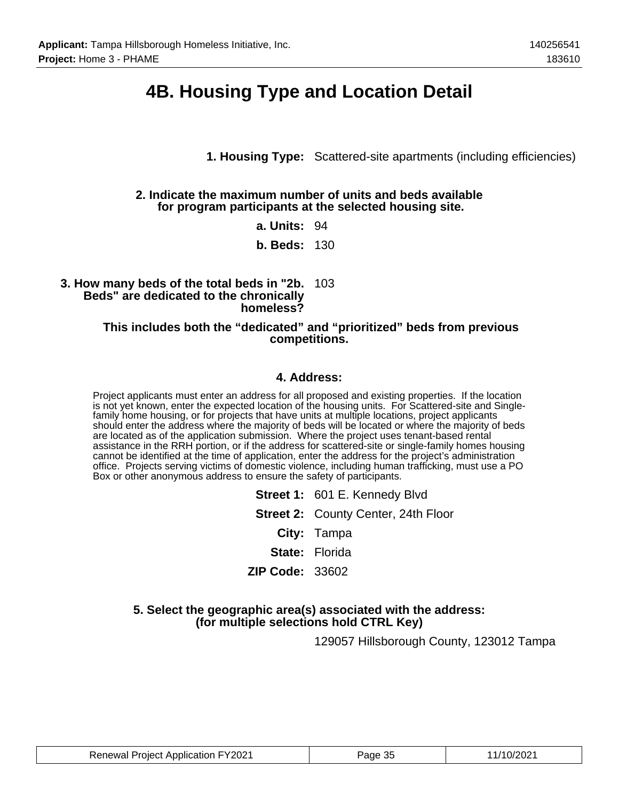### **4B. Housing Type and Location Detail**

**1. Housing Type:** Scattered-site apartments (including efficiencies)

#### **2. Indicate the maximum number of units and beds available for program participants at the selected housing site.**

**a. Units:** 94

**b. Beds:** 130

#### **3. How many beds of the total beds in "2b.** 103 **Beds" are dedicated to the chronically homeless?**

#### **This includes both the "dedicated" and "prioritized" beds from previous competitions.**

#### **4. Address:**

Project applicants must enter an address for all proposed and existing properties. If the location is not yet known, enter the expected location of the housing units. For Scattered-site and Singlefamily home housing, or for projects that have units at multiple locations, project applicants should enter the address where the majority of beds will be located or where the majority of beds are located as of the application submission. Where the project uses tenant-based rental assistance in the RRH portion, or if the address for scattered-site or single-family homes housing cannot be identified at the time of application, enter the address for the project's administration office. Projects serving victims of domestic violence, including human trafficking, must use a PO Box or other anonymous address to ensure the safety of participants.

> **Street 1:** 601 E. Kennedy Blvd **Street 2: County Center, 24th Floor City:** Tampa **State:** Florida **ZIP Code:** 33602

#### **5. Select the geographic area(s) associated with the address: (for multiple selections hold CTRL Key)**

129057 Hillsborough County, 123012 Tampa

| <b>Renewal Project Application FY2021</b> | Page 35 | 11/10/2021 |
|-------------------------------------------|---------|------------|
|-------------------------------------------|---------|------------|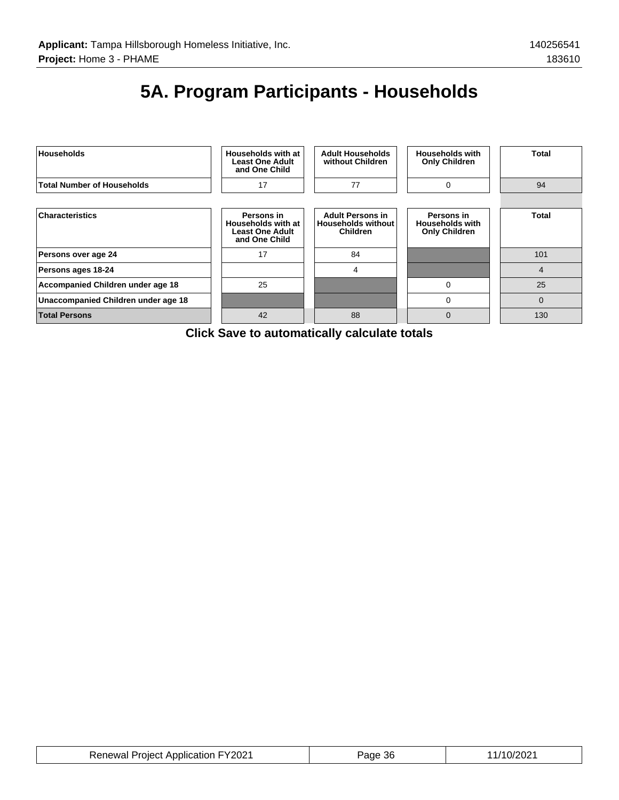# **5A. Program Participants - Households**



**Click Save to automatically calculate totals**

| <b>Renewal Project Application FY2021</b> | Page 36 | 11/10/2021 |
|-------------------------------------------|---------|------------|
|-------------------------------------------|---------|------------|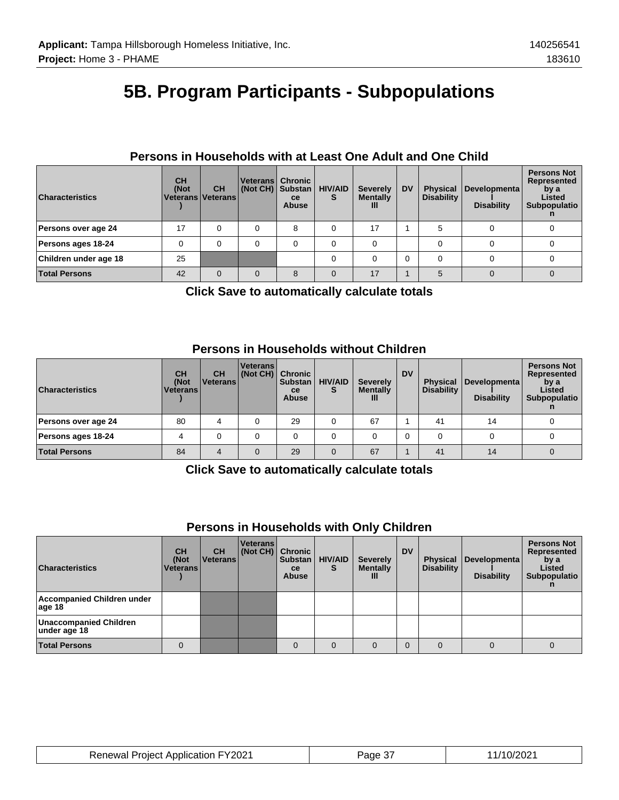# **5B. Program Participants - Subpopulations**

| <b>Characteristics</b> | <b>CH</b><br>(Not<br><b>Veterans</b> | <b>CH</b><br>  Veterans | Veterans Chronic<br>$(Not CH)$ Substan | ce<br><b>Abuse</b> | <b>HIV/AID</b><br>S | <b>Severely</b><br><b>Mentally</b><br>Ш | <b>DV</b> | <b>Disability</b> | Physical Developmenta<br><b>Disability</b> | <b>Persons Not</b><br>Represented<br>by a<br>Listed<br>Subpopulatio |
|------------------------|--------------------------------------|-------------------------|----------------------------------------|--------------------|---------------------|-----------------------------------------|-----------|-------------------|--------------------------------------------|---------------------------------------------------------------------|
| Persons over age 24    | 17                                   |                         | 0                                      | 8                  | 0                   | 17                                      |           |                   |                                            |                                                                     |
| Persons ages 18-24     | $\Omega$                             |                         | 0                                      | O                  | 0                   | 0                                       |           |                   |                                            |                                                                     |
| Children under age 18  | 25                                   |                         |                                        |                    | $\Omega$            |                                         |           |                   | $\Omega$                                   |                                                                     |
| <b>Total Persons</b>   | 42                                   |                         | $\Omega$                               | 8                  | $\Omega$            | 17                                      |           |                   |                                            |                                                                     |

#### **Persons in Households with at Least One Adult and One Child**

**Click Save to automatically calculate totals**

#### **Persons in Households without Children**

| <b>Characteristics</b> | <b>CH</b><br>(Not<br>l Veterans l | <b>CH</b><br><u> Veterans </u> | <b>Veterans</b><br>(Not CH) Chronic | <b>Substan</b><br>ce<br><b>Abuse</b> | <b>HIV/AID</b><br>S | <b>Severely</b><br><b>Mentally</b><br>Ш | <b>DV</b> | <b>Disability</b> | Physical Developmenta<br><b>Disability</b> | <b>Persons Not</b><br>Represented<br>by a<br>Listed<br>Subpopulatio |
|------------------------|-----------------------------------|--------------------------------|-------------------------------------|--------------------------------------|---------------------|-----------------------------------------|-----------|-------------------|--------------------------------------------|---------------------------------------------------------------------|
| Persons over age 24    | 80                                |                                |                                     | 29                                   | 0                   | 67                                      |           | 41                | 14                                         |                                                                     |
| Persons ages 18-24     |                                   |                                |                                     |                                      | 0                   |                                         |           | $\Omega$          |                                            |                                                                     |
| <b>Total Persons</b>   | 84                                | 4                              | $\Omega$                            | 29                                   | $\Omega$            | 67                                      |           | 41                | 14                                         |                                                                     |

**Click Save to automatically calculate totals**

#### **Persons in Households with Only Children**

| <b>Characteristics</b>                        | <b>CH</b><br>(Not<br>  Veterans | <b>CH</b><br><b>Veterans</b> | <b>Veterans</b><br>(Not CH) Chronic | <b>Substan</b><br>ce<br><b>Abuse</b> | <b>HIV/AID</b><br>S. | <b>Severely</b><br><b>Mentally</b><br>$\mathbf{m}$ | <b>DV</b> | <b>Physical</b><br><b>Disability</b> | Developmenta  <br><b>Disability</b> | <b>Persons Not</b><br>Represented<br>by a<br>Listed<br>Subpopulatio |
|-----------------------------------------------|---------------------------------|------------------------------|-------------------------------------|--------------------------------------|----------------------|----------------------------------------------------|-----------|--------------------------------------|-------------------------------------|---------------------------------------------------------------------|
| <b>Accompanied Children under</b><br>age 18   |                                 |                              |                                     |                                      |                      |                                                    |           |                                      |                                     |                                                                     |
| <b>Unaccompanied Children</b><br>under age 18 |                                 |                              |                                     |                                      |                      |                                                    |           |                                      |                                     |                                                                     |
| <b>Total Persons</b>                          | 0                               |                              |                                     | $\Omega$                             |                      |                                                    |           |                                      |                                     |                                                                     |

| <b>Renewal Project Application FY2021</b> | Page 37 | 11/10/2021 |
|-------------------------------------------|---------|------------|
|-------------------------------------------|---------|------------|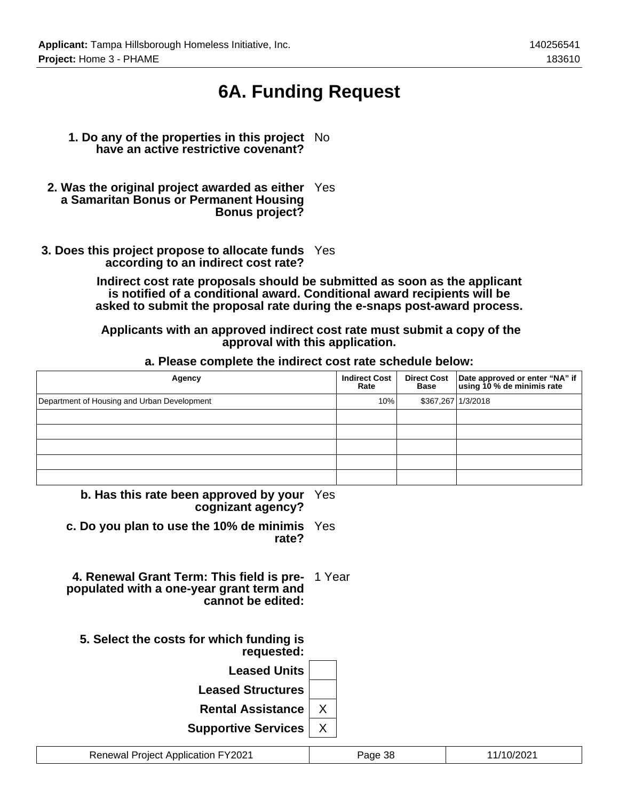# **6A. Funding Request**

- **1. Do any of the properties in this project** No **have an active restrictive covenant?**
- **2. Was the original project awarded as either** Yes **a Samaritan Bonus or Permanent Housing Bonus project?**
- **3. Does this project propose to allocate funds** Yes **according to an indirect cost rate?**

**Indirect cost rate proposals should be submitted as soon as the applicant is notified of a conditional award. Conditional award recipients will be asked to submit the proposal rate during the e-snaps post-award process.**

 **Applicants with an approved indirect cost rate must submit a copy of the approval with this application.**

| Agency                                                                                                     |        | <b>Indirect Cost</b><br>Rate | <b>Direct Cost</b><br><b>Base</b> | Date approved or enter "NA" if<br>using 10 % de minimis rate |
|------------------------------------------------------------------------------------------------------------|--------|------------------------------|-----------------------------------|--------------------------------------------------------------|
| Department of Housing and Urban Development                                                                |        | 10%                          | \$367,267 1/3/2018                |                                                              |
|                                                                                                            |        |                              |                                   |                                                              |
|                                                                                                            |        |                              |                                   |                                                              |
|                                                                                                            |        |                              |                                   |                                                              |
|                                                                                                            |        |                              |                                   |                                                              |
|                                                                                                            |        |                              |                                   |                                                              |
| b. Has this rate been approved by your<br>cognizant agency?                                                | Yes    |                              |                                   |                                                              |
| c. Do you plan to use the 10% de minimis Yes<br>rate?                                                      |        |                              |                                   |                                                              |
| 4. Renewal Grant Term: This field is pre-<br>populated with a one-year grant term and<br>cannot be edited: | 1 Year |                              |                                   |                                                              |
| 5. Select the costs for which funding is<br>requested:                                                     |        |                              |                                   |                                                              |
| <b>Leased Units</b>                                                                                        |        |                              |                                   |                                                              |
| <b>Leased Structures</b>                                                                                   |        |                              |                                   |                                                              |
| <b>Rental Assistance</b>                                                                                   | X      |                              |                                   |                                                              |
| <b>Supportive Services</b>                                                                                 | X      |                              |                                   |                                                              |

**a. Please complete the indirect cost rate schedule below:**

| <b>Renewal Project Application FY2021</b> | Page 38 | 11/10/2021 |
|-------------------------------------------|---------|------------|
|-------------------------------------------|---------|------------|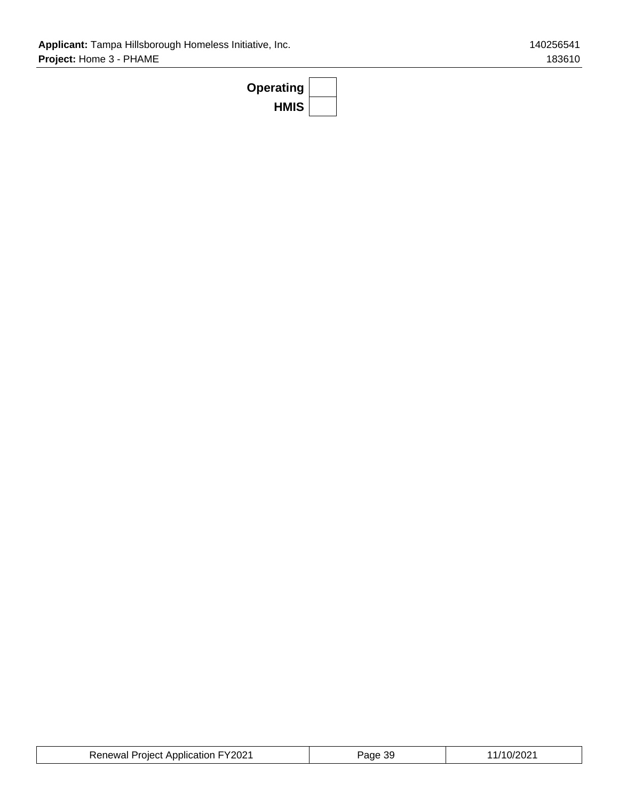

| <b>Renewal Project Application FY2021</b> | апе | /10/202' |
|-------------------------------------------|-----|----------|
|-------------------------------------------|-----|----------|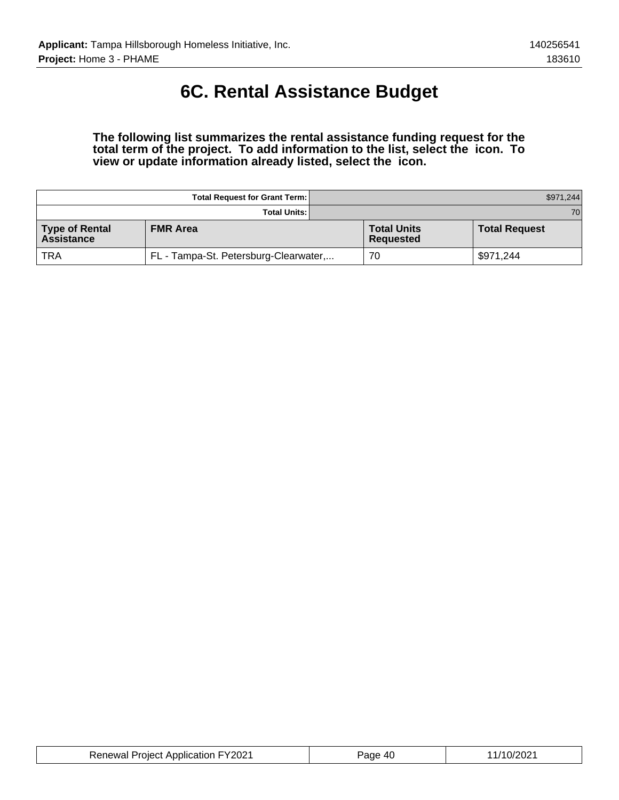# **6C. Rental Assistance Budget**

#### **The following list summarizes the rental assistance funding request for the total term of the project. To add information to the list, select the icon. To view or update information already listed, select the icon.**

|                                     | <b>Total Request for Grant Term:</b>  |                                 | \$971.244            |
|-------------------------------------|---------------------------------------|---------------------------------|----------------------|
|                                     | <b>Total Units:</b>                   |                                 | 70                   |
| Type of Rental<br><b>Assistance</b> | <b>FMR Area</b>                       | <b>Total Units</b><br>Requested | <b>Total Request</b> |
| <b>TRA</b>                          | FL - Tampa-St. Petersburg-Clearwater, | 70                              | \$971,244            |

| <b>Renewal Project Application FY2021</b> | Page 40 | 11/10/2021 |
|-------------------------------------------|---------|------------|
|-------------------------------------------|---------|------------|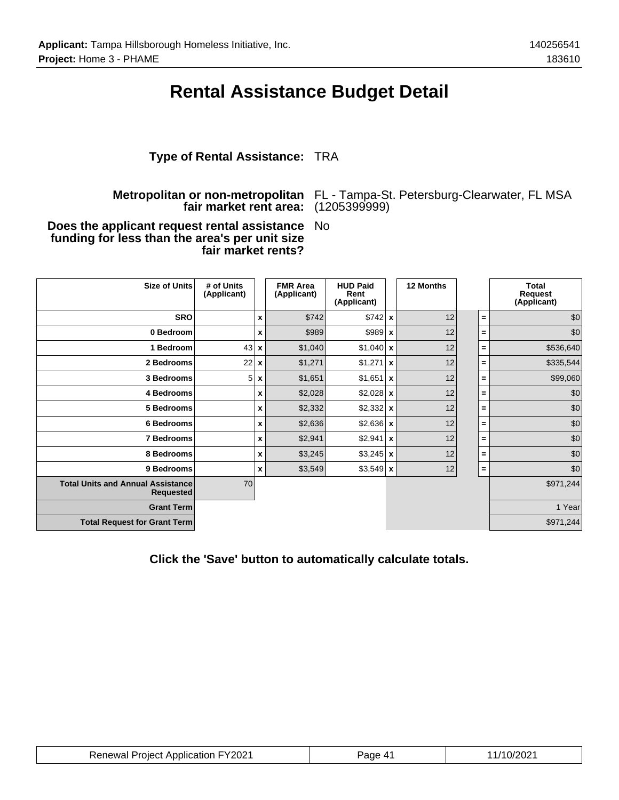### **Rental Assistance Budget Detail**

#### **Type of Rental Assistance:** TRA

#### **Metropolitan or non-metropolitan fair market rent area:**

FL - Tampa-St. Petersburg-Clearwater, FL MSA (1205399999)

#### **Does the applicant request rental assistance funding for less than the area's per unit size fair market rents?** No

| <b>Size of Units</b>                                         | # of Units<br>(Applicant) |    | <b>FMR Area</b><br>(Applicant) | <b>HUD Paid</b><br>Rent<br>(Applicant) | 12 Months |          | <b>Total</b><br>Request<br>(Applicant) |
|--------------------------------------------------------------|---------------------------|----|--------------------------------|----------------------------------------|-----------|----------|----------------------------------------|
| <b>SRO</b>                                                   |                           | X  | \$742                          | $$742$ x                               | 12        | Ξ        | \$0                                    |
| 0 Bedroom                                                    |                           | X  | \$989                          | $$989$ $\times$                        | 12        | $\equiv$ | \$0                                    |
| 1 Bedroom                                                    | $43 \times$               |    | \$1,040                        | $$1,040$ x                             | 12        | Ξ        | \$536,640                              |
| 2 Bedrooms                                                   | 22x                       |    | \$1,271                        | $$1,271$ x                             | 12        | $\equiv$ | \$335,544                              |
| 3 Bedrooms                                                   |                           | 5x | \$1,651                        | $$1,651$ x                             | 12        | =        | \$99,060                               |
| 4 Bedrooms                                                   |                           | X  | \$2,028                        | $$2,028$ $\times$                      | 12        | Ξ        | \$0                                    |
| 5 Bedrooms                                                   |                           | x  | \$2,332                        | $$2,332$ x                             | 12        | =        | \$0                                    |
| 6 Bedrooms                                                   |                           | X  | \$2,636                        | $$2,636$ x                             | 12        | $\equiv$ | \$0                                    |
| 7 Bedrooms                                                   |                           | X  | \$2,941                        | $$2,941$ x                             | 12        | =        | \$0                                    |
| 8 Bedrooms                                                   |                           | X  | \$3,245                        | $$3,245$ x                             | 12        | =        | \$0                                    |
| 9 Bedrooms                                                   |                           | X  | \$3,549                        | $$3,549$ x                             | 12        | =        | \$0                                    |
| <b>Total Units and Annual Assistance</b><br><b>Requested</b> | 70                        |    |                                |                                        |           |          | \$971,244                              |
| <b>Grant Term</b>                                            |                           |    |                                |                                        |           |          | 1 Year                                 |
| <b>Total Request for Grant Term</b>                          |                           |    |                                |                                        |           |          | \$971,244                              |

**Click the 'Save' button to automatically calculate totals.**

| <b>Renewal Project Application FY2021</b> | Page 41 | 11/10/2021 |
|-------------------------------------------|---------|------------|
|-------------------------------------------|---------|------------|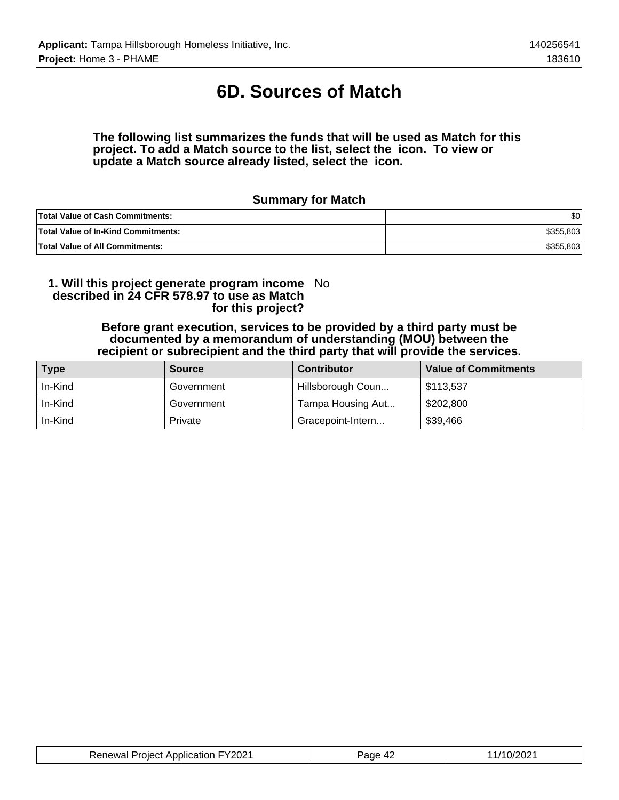# **6D. Sources of Match**

#### **The following list summarizes the funds that will be used as Match for this project. To add a Match source to the list, select the icon. To view or update a Match source already listed, select the icon.**

#### **Summary for Match**

| <b>Total Value of Cash Commitments:</b>    | \$0       |
|--------------------------------------------|-----------|
| <b>Total Value of In-Kind Commitments:</b> | \$355.803 |
| <b>Total Value of All Commitments:</b>     | \$355,803 |

#### **1. Will this project generate program income** No **described in 24 CFR 578.97 to use as Match for this project?**

#### **Before grant execution, services to be provided by a third party must be documented by a memorandum of understanding (MOU) between the recipient or subrecipient and the third party that will provide the services.**

| <b>Type</b> | <b>Source</b> | <b>Contributor</b> | <b>Value of Commitments</b> |
|-------------|---------------|--------------------|-----------------------------|
| In-Kind     | Government    | Hillsborough Coun  | \$113,537                   |
| In-Kind     | Government    | Tampa Housing Aut  | \$202,800                   |
| In-Kind     | Private       | Gracepoint-Intern  | \$39,466                    |

| Renewal Project Application FY2021 | <sup>o</sup> aqe 42 | 11/10/2021 |
|------------------------------------|---------------------|------------|
|                                    |                     |            |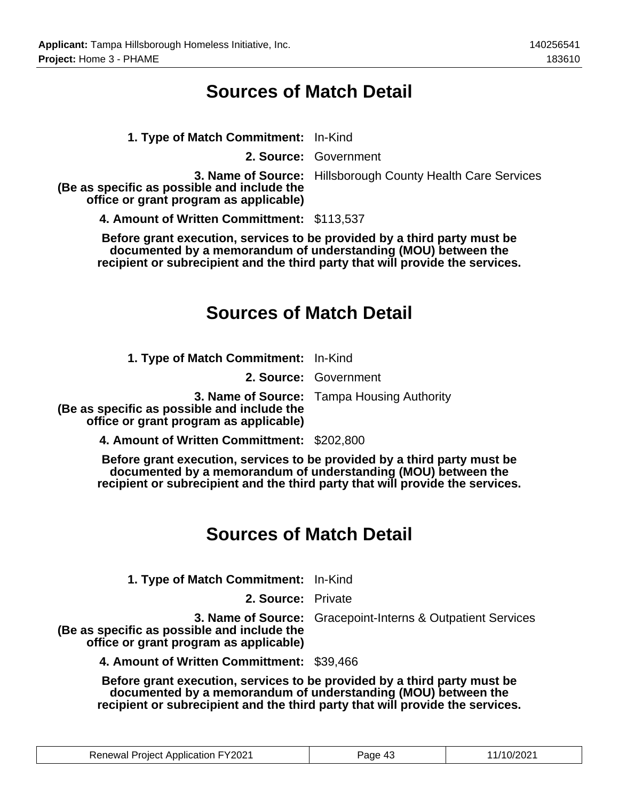### **Sources of Match Detail**

**1. Type of Match Commitment:** In-Kind

**2. Source:** Government

**3. Name of Source:** Hillsborough County Health Care Services  **(Be as specific as possible and include the office or grant program as applicable)**

**4. Amount of Written Committment:** \$113,537

**Before grant execution, services to be provided by a third party must be documented by a memorandum of understanding (MOU) between the recipient or subrecipient and the third party that will provide the services.**

### **Sources of Match Detail**

**1. Type of Match Commitment:** In-Kind

**2. Source:** Government

**3. Name of Source:** Tampa Housing Authority  **(Be as specific as possible and include the office or grant program as applicable)**

**4. Amount of Written Committment:** \$202,800

**Before grant execution, services to be provided by a third party must be documented by a memorandum of understanding (MOU) between the recipient or subrecipient and the third party that will provide the services.**

### **Sources of Match Detail**

**1. Type of Match Commitment:** In-Kind

**2. Source:** Private

**3. Name of Source:** Gracepoint-Interns & Outpatient Services  **(Be as specific as possible and include the office or grant program as applicable)**

**4. Amount of Written Committment:** \$39,466

**Before grant execution, services to be provided by a third party must be documented by a memorandum of understanding (MOU) between the recipient or subrecipient and the third party that will provide the services.**

| <b>Renewal Project Application FY2021</b> | Page 43 | 11/10/2021 |
|-------------------------------------------|---------|------------|
|-------------------------------------------|---------|------------|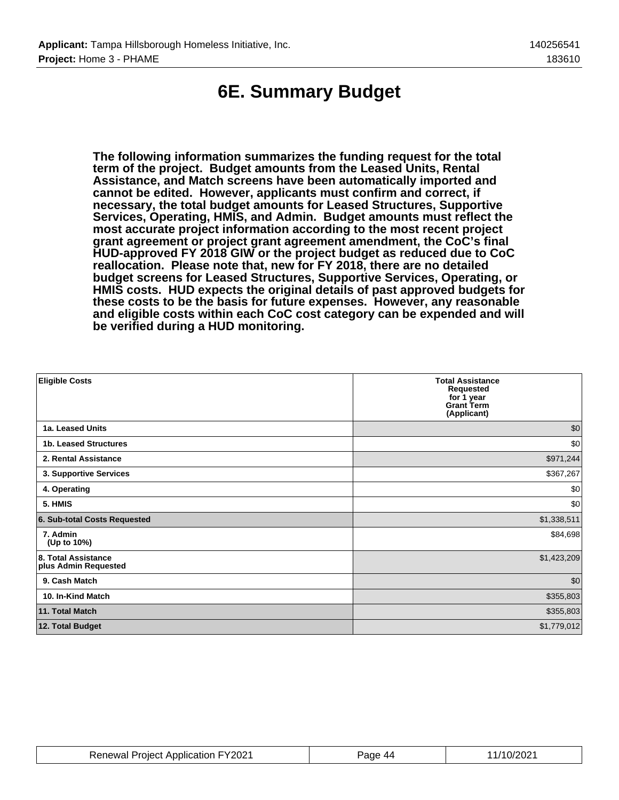# **6E. Summary Budget**

**The following information summarizes the funding request for the total term of the project. Budget amounts from the Leased Units, Rental Assistance, and Match screens have been automatically imported and cannot be edited. However, applicants must confirm and correct, if necessary, the total budget amounts for Leased Structures, Supportive Services, Operating, HMIS, and Admin. Budget amounts must reflect the most accurate project information according to the most recent project grant agreement or project grant agreement amendment, the CoC's final HUD-approved FY 2018 GIW or the project budget as reduced due to CoC reallocation. Please note that, new for FY 2018, there are no detailed budget screens for Leased Structures, Supportive Services, Operating, or HMIS costs. HUD expects the original details of past approved budgets for these costs to be the basis for future expenses. However, any reasonable and eligible costs within each CoC cost category can be expended and will be verified during a HUD monitoring.**

| <b>Eligible Costs</b>                       | <b>Total Assistance</b><br><b>Requested</b><br>for 1 year<br><b>Grant Term</b><br>(Applicant) |
|---------------------------------------------|-----------------------------------------------------------------------------------------------|
| 1a. Leased Units                            | \$0                                                                                           |
| 1b. Leased Structures                       | \$0                                                                                           |
| 2. Rental Assistance                        | \$971,244                                                                                     |
| 3. Supportive Services                      | \$367,267                                                                                     |
| 4. Operating                                | \$0                                                                                           |
| 5. HMIS                                     | \$0                                                                                           |
| 6. Sub-total Costs Requested                | \$1,338,511                                                                                   |
| 7. Admin<br>(Up to 10%)                     | \$84,698                                                                                      |
| 8. Total Assistance<br>plus Admin Requested | \$1,423,209                                                                                   |
| 9. Cash Match                               | \$0                                                                                           |
| 10. In-Kind Match                           | \$355,803                                                                                     |
| 11. Total Match                             | \$355,803                                                                                     |
| 12. Total Budget                            | \$1,779,012                                                                                   |

| <b>Renewal Project Application FY2021</b> | Page 44 | 11/10/2021 |
|-------------------------------------------|---------|------------|
|-------------------------------------------|---------|------------|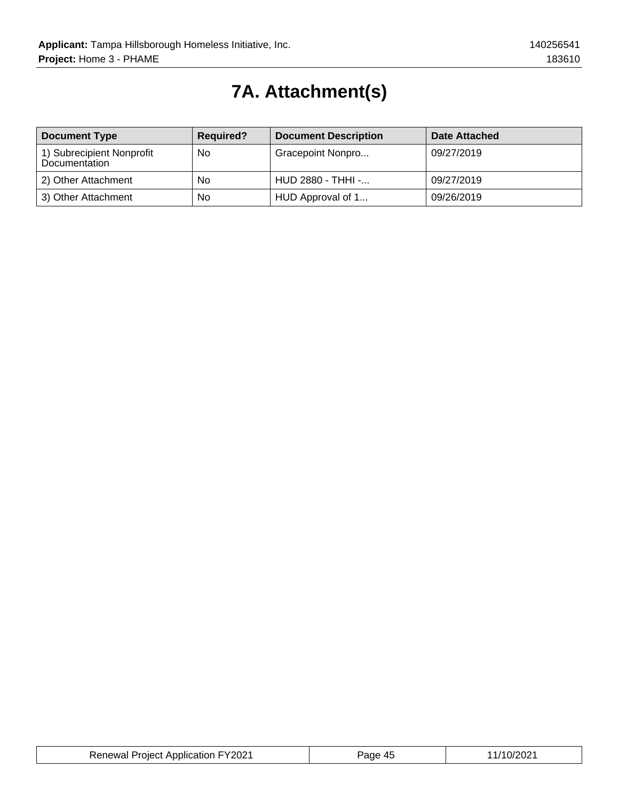# **7A. Attachment(s)**

| <b>Document Type</b>                       | <b>Required?</b> | <b>Document Description</b> | Date Attached |
|--------------------------------------------|------------------|-----------------------------|---------------|
| 1) Subrecipient Nonprofit<br>Documentation | No.              | Gracepoint Nonpro           | 09/27/2019    |
| 2) Other Attachment                        | No               | HUD 2880 - THHI -           | 09/27/2019    |
| 3) Other Attachment                        | No               | HUD Approval of 1           | 09/26/2019    |

| ation FY2021:<br>Renewal<br>Project Application | ⊇age : | ZUZ |
|-------------------------------------------------|--------|-----|
|-------------------------------------------------|--------|-----|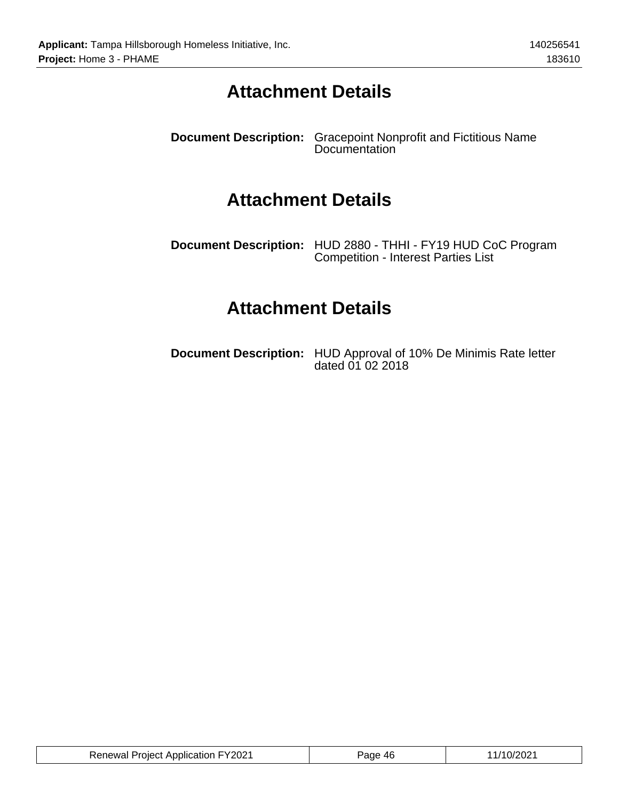# **Attachment Details**

**Document Description:** Gracepoint Nonprofit and Fictitious Name Documentation

### **Attachment Details**

**Document Description:** HUD 2880 - THHI - FY19 HUD CoC Program Competition - Interest Parties List

### **Attachment Details**

**Document Description:** HUD Approval of 10% De Minimis Rate letter dated 01 02 2018

| <b>Renewal Project Application FY2021</b> | an t | . |
|-------------------------------------------|------|---|
|-------------------------------------------|------|---|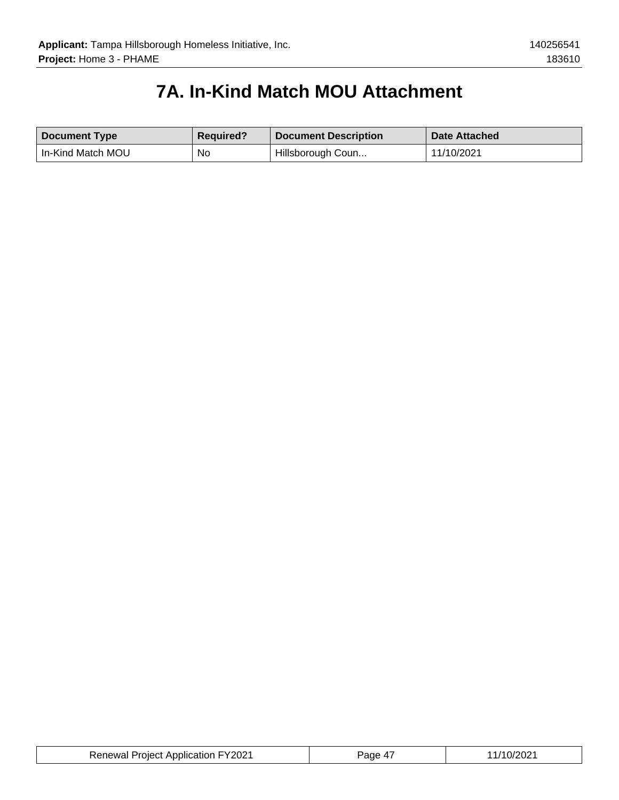# **7A. In-Kind Match MOU Attachment**

| <b>Document Type</b> | <b>Required?</b> | <b>Document Description</b> | <b>Date Attached</b> |
|----------------------|------------------|-----------------------------|----------------------|
| ' In-Kind Match MOU  | No               | Hillsborough Coun           | 11/10/2021           |

| <b>Renewal Project Application FY2021</b> | Page 47 | 11/10/2021 |
|-------------------------------------------|---------|------------|
|-------------------------------------------|---------|------------|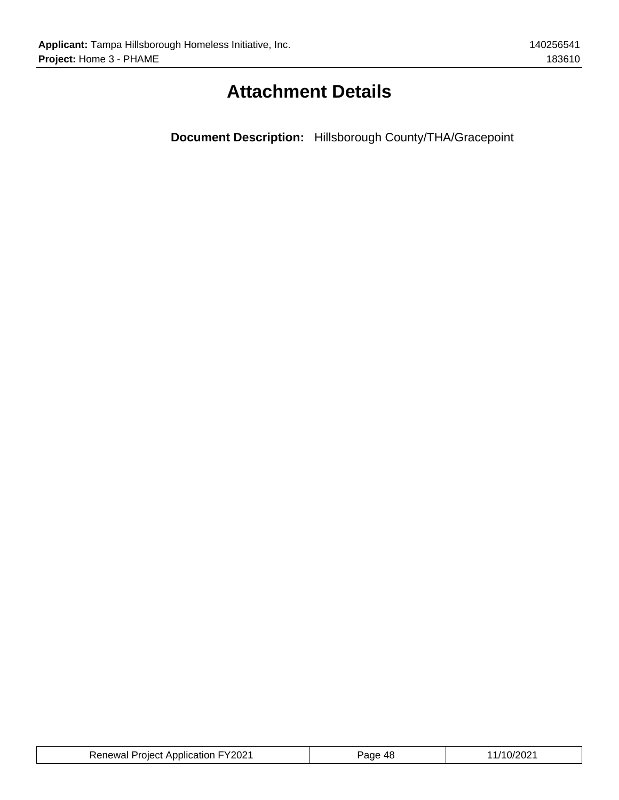# **Attachment Details**

**Document Description:** Hillsborough County/THA/Gracepoint

| <b>Renewal Project Application FY2021</b> | Page 48 | 11/10/2021 |
|-------------------------------------------|---------|------------|
|-------------------------------------------|---------|------------|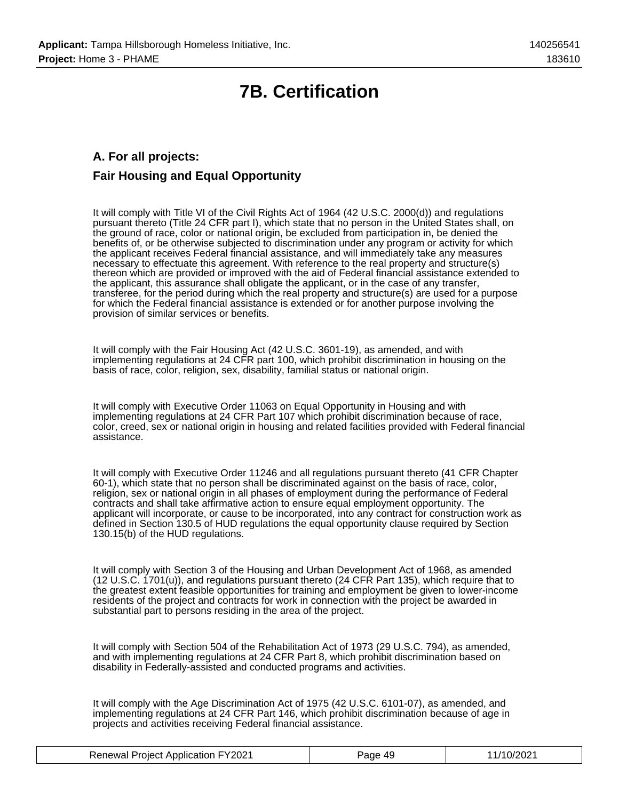# **7B. Certification**

### **A. For all projects: Fair Housing and Equal Opportunity**

It will comply with Title VI of the Civil Rights Act of 1964 (42 U.S.C. 2000(d)) and regulations pursuant thereto (Title 24 CFR part I), which state that no person in the United States shall, on the ground of race, color or national origin, be excluded from participation in, be denied the benefits of, or be otherwise subjected to discrimination under any program or activity for which the applicant receives Federal financial assistance, and will immediately take any measures necessary to effectuate this agreement. With reference to the real property and structure(s) thereon which are provided or improved with the aid of Federal financial assistance extended to the applicant, this assurance shall obligate the applicant, or in the case of any transfer, transferee, for the period during which the real property and structure(s) are used for a purpose for which the Federal financial assistance is extended or for another purpose involving the provision of similar services or benefits.

It will comply with the Fair Housing Act (42 U.S.C. 3601-19), as amended, and with implementing regulations at 24 CFR part 100, which prohibit discrimination in housing on the basis of race, color, religion, sex, disability, familial status or national origin.

It will comply with Executive Order 11063 on Equal Opportunity in Housing and with implementing regulations at 24 CFR Part 107 which prohibit discrimination because of race, color, creed, sex or national origin in housing and related facilities provided with Federal financial assistance.

It will comply with Executive Order 11246 and all regulations pursuant thereto (41 CFR Chapter 60-1), which state that no person shall be discriminated against on the basis of race, color, religion, sex or national origin in all phases of employment during the performance of Federal contracts and shall take affirmative action to ensure equal employment opportunity. The applicant will incorporate, or cause to be incorporated, into any contract for construction work as defined in Section 130.5 of HUD regulations the equal opportunity clause required by Section 130.15(b) of the HUD regulations.

It will comply with Section 3 of the Housing and Urban Development Act of 1968, as amended (12 U.S.C. 1701(u)), and regulations pursuant thereto (24 CFR Part 135), which require that to the greatest extent feasible opportunities for training and employment be given to lower-income residents of the project and contracts for work in connection with the project be awarded in substantial part to persons residing in the area of the project.

It will comply with Section 504 of the Rehabilitation Act of 1973 (29 U.S.C. 794), as amended, and with implementing regulations at 24 CFR Part 8, which prohibit discrimination based on disability in Federally-assisted and conducted programs and activities.

It will comply with the Age Discrimination Act of 1975 (42 U.S.C. 6101-07), as amended, and implementing regulations at 24 CFR Part 146, which prohibit discrimination because of age in projects and activities receiving Federal financial assistance.

| <b>Renewal Project Application FY2021</b> | Page 49 | 11/10/2021 |
|-------------------------------------------|---------|------------|
|-------------------------------------------|---------|------------|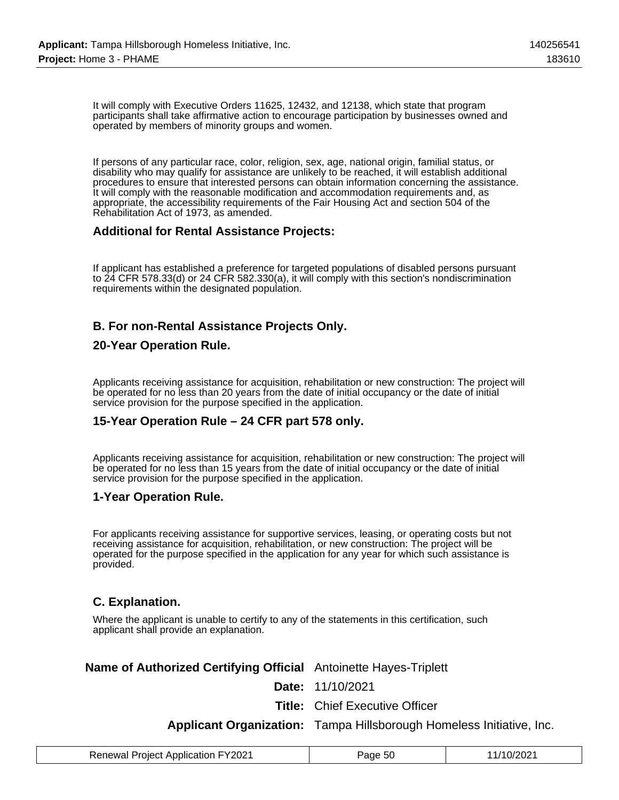It will comply with Executive Orders 11625, 12432, and 12138, which state that program participants shall take affirmative action to encourage participation by businesses owned and operated by members of minority groups and women.

If persons of any particular race, color, religion, sex, age, national origin, familial status, or disability who may qualify for assistance are unlikely to be reached, it will establish additional procedures to ensure that interested persons can obtain information concerning the assistance. It will comply with the reasonable modification and accommodation requirements and, as appropriate, the accessibility requirements of the Fair Housing Act and section 504 of the Rehabilitation Act of 1973, as amended.

#### **Additional for Rental Assistance Projects:**

If applicant has established a preference for targeted populations of disabled persons pursuant to 24 CFR 578.33(d) or 24 CFR 582.330(a), it will comply with this section's nondiscrimination requirements within the designated population.

#### **B. For non-Rental Assistance Projects Only.**

#### **20-Year Operation Rule.**

Applicants receiving assistance for acquisition, rehabilitation or new construction: The project will be operated for no less than 20 years from the date of initial occupancy or the date of initial service provision for the purpose specified in the application.

#### **15-Year Operation Rule – 24 CFR part 578 only.**

Applicants receiving assistance for acquisition, rehabilitation or new construction: The project will be operated for no less than 15 years from the date of initial occupancy or the date of initial service provision for the purpose specified in the application.

#### **1-Year Operation Rule.**

For applicants receiving assistance for supportive services, leasing, or operating costs but not receiving assistance for acquisition, rehabilitation, or new construction: The project will be operated for the purpose specified in the application for any year for which such assistance is provided.

#### **C. Explanation.**

Where the applicant is unable to certify to any of the statements in this certification, such applicant shall provide an explanation.

| Name of Authorized Certifying Official Antoinette Hayes-Triplett |                                                                      |  |  |
|------------------------------------------------------------------|----------------------------------------------------------------------|--|--|
|                                                                  | <b>Date:</b> 11/10/2021                                              |  |  |
|                                                                  | <b>Title: Chief Executive Officer</b>                                |  |  |
|                                                                  | Applicant Organization: Tampa Hillsborough Homeless Initiative, Inc. |  |  |
|                                                                  |                                                                      |  |  |

| <b>Renewal Project Application FY2021</b> | Page 50 | 11/10/2021 |
|-------------------------------------------|---------|------------|
|-------------------------------------------|---------|------------|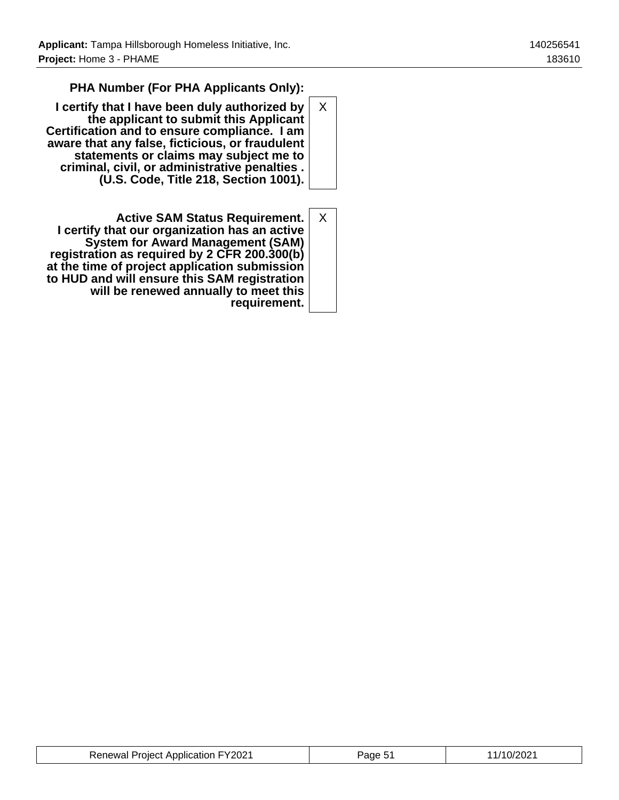#### **PHA Number (For PHA Applicants Only):**

- **I certify that I have been duly authorized by the applicant to submit this Applicant Certification and to ensure compliance. I am aware that any false, ficticious, or fraudulent statements or claims may subject me to criminal, civil, or administrative penalties . (U.S. Code, Title 218, Section 1001).** X
- **Active SAM Status Requirement. I certify that our organization has an active System for Award Management (SAM) registration as required by 2 CFR 200.300(b) at the time of project application submission to HUD and will ensure this SAM registration will be renewed annually to meet this requirement.** X

| <b>Renewal Project Application FY2021</b> | Page 51 | 11/10/2021 |
|-------------------------------------------|---------|------------|
|-------------------------------------------|---------|------------|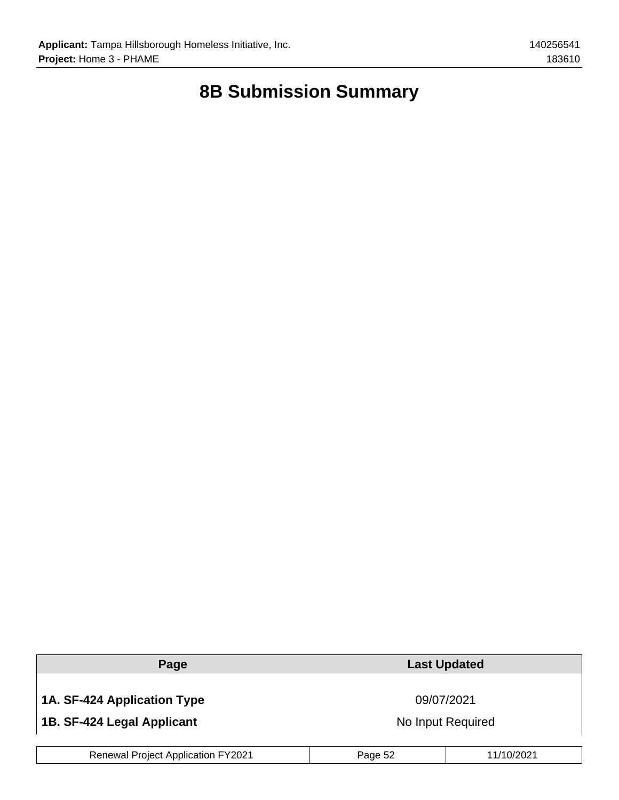# **8B Submission Summary**

| Page                                      |                   | <b>Last Updated</b> |  |  |
|-------------------------------------------|-------------------|---------------------|--|--|
| 1A. SF-424 Application Type               | 09/07/2021        |                     |  |  |
| 1B. SF-424 Legal Applicant                | No Input Required |                     |  |  |
| <b>Renewal Project Application FY2021</b> | Page 52           | 11/10/2021          |  |  |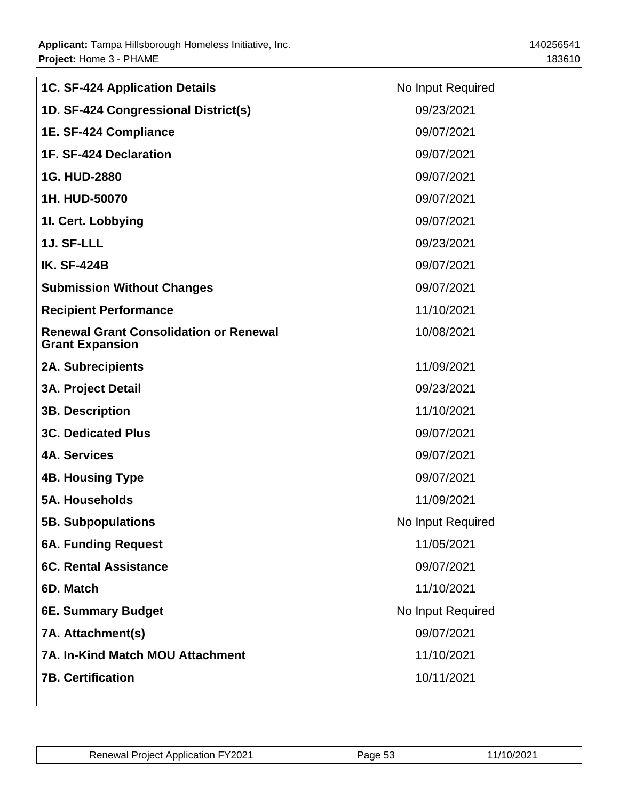| <b>1C. SF-424 Application Details</b>                                   | No Input Required |
|-------------------------------------------------------------------------|-------------------|
| 1D. SF-424 Congressional District(s)                                    | 09/23/2021        |
| 1E. SF-424 Compliance                                                   | 09/07/2021        |
| 1F. SF-424 Declaration                                                  | 09/07/2021        |
| 1G. HUD-2880                                                            | 09/07/2021        |
| 1H. HUD-50070                                                           | 09/07/2021        |
| 11. Cert. Lobbying                                                      | 09/07/2021        |
| 1J. SF-LLL                                                              | 09/23/2021        |
| <b>IK. SF-424B</b>                                                      | 09/07/2021        |
| <b>Submission Without Changes</b>                                       | 09/07/2021        |
| <b>Recipient Performance</b>                                            | 11/10/2021        |
| <b>Renewal Grant Consolidation or Renewal</b><br><b>Grant Expansion</b> | 10/08/2021        |
| <b>2A. Subrecipients</b>                                                | 11/09/2021        |
| <b>3A. Project Detail</b>                                               | 09/23/2021        |
| <b>3B. Description</b>                                                  | 11/10/2021        |
| <b>3C. Dedicated Plus</b>                                               | 09/07/2021        |
| <b>4A. Services</b>                                                     | 09/07/2021        |
| <b>4B. Housing Type</b>                                                 | 09/07/2021        |
| <b>5A. Households</b>                                                   | 11/09/2021        |
| <b>5B. Subpopulations</b>                                               | No Input Required |
| <b>6A. Funding Request</b>                                              | 11/05/2021        |
| <b>6C. Rental Assistance</b>                                            | 09/07/2021        |
| 6D. Match                                                               | 11/10/2021        |
| 6E. Summary Budget                                                      | No Input Required |
| 7A. Attachment(s)                                                       | 09/07/2021        |
| 7A. In-Kind Match MOU Attachment                                        | 11/10/2021        |
| <b>7B. Certification</b>                                                | 10/11/2021        |

| <b>Renewal Project Application FY2021</b> | ane 5<br>ືບພ | 10/202 |
|-------------------------------------------|--------------|--------|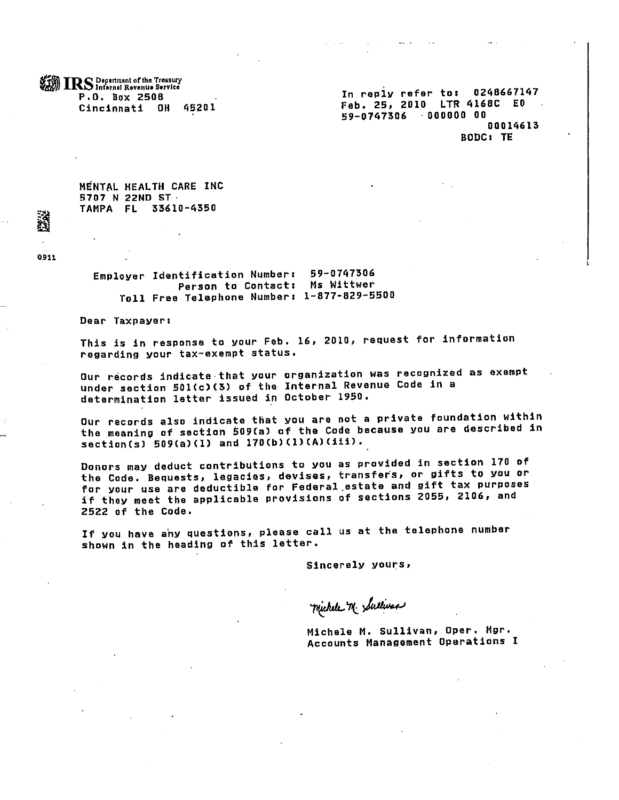**WED IRS** Department of the Treasury P.O. Box 2508 Cincinnati OH 45201

In reply refer to: 0248667147 Feb. 25, 2010 LTR 4168C EO 59-0747306 000000 00 00014613 BODC: TE

MENTAL HEALTH CARE INC 5707 N 22ND ST TAMPA FL 33610-4350

0911

is.

Employer Identification Number: 59-0747306 Person to Contact: Ms Wittwer Toll Free Telephone Number: 1-877-829-5500

Dear Taxpayer:

This is in response to your Feb. 16, 2010, request for information regarding your tax-exempt status.

Our records indicate that your organization was recognized as exempt under section 501(c)(3) of the Internal Revenue Code in a determination letter issued in October 1950.

Our records also indicate that you are not a private foundation within the meaning of section 509(a) of the Code because you are described in section(s) 509(a)(1) and 170(b)(1)(A)(iii).

Donors may deduct contributions to you as provided in section 170 of the Code. Bequests, legacies, devises, transfers, or gifts to you or for your use are deductible for Federal estate and gift tax purposes if they meet the applicable provisions of sections 2055, 2106, and 2522 of the Code.

If you have any questions, please call us at the telephone number shown in the heading of this letter.

Sinceraly yours,

michele M. Sullivan

Michele M. Sullivan, Oper. Mgr. Accounts Management Operations I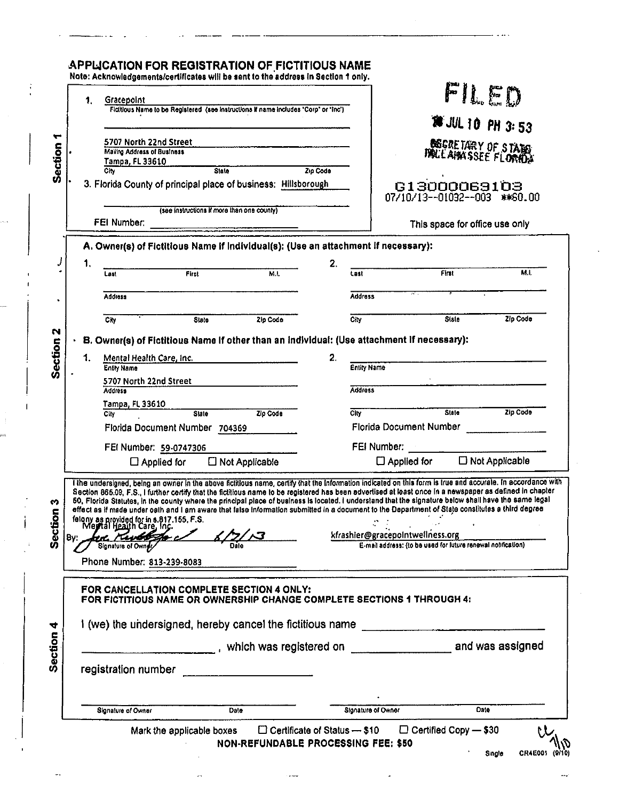| Date<br>Signature of Owner                                             |                                                                                                     |                                                                                                                                 | Date                                                                                                                                                                                                                                                              |                                                                                                                                                                                                                                                                                                                                                                                                                                                                                                                                                                                                                                                                                                                                                                                                                                                                                                                                                                                                                                                                                                                                                                                                               |
|------------------------------------------------------------------------|-----------------------------------------------------------------------------------------------------|---------------------------------------------------------------------------------------------------------------------------------|-------------------------------------------------------------------------------------------------------------------------------------------------------------------------------------------------------------------------------------------------------------------|---------------------------------------------------------------------------------------------------------------------------------------------------------------------------------------------------------------------------------------------------------------------------------------------------------------------------------------------------------------------------------------------------------------------------------------------------------------------------------------------------------------------------------------------------------------------------------------------------------------------------------------------------------------------------------------------------------------------------------------------------------------------------------------------------------------------------------------------------------------------------------------------------------------------------------------------------------------------------------------------------------------------------------------------------------------------------------------------------------------------------------------------------------------------------------------------------------------|
| registration number                                                    |                                                                                                     |                                                                                                                                 |                                                                                                                                                                                                                                                                   |                                                                                                                                                                                                                                                                                                                                                                                                                                                                                                                                                                                                                                                                                                                                                                                                                                                                                                                                                                                                                                                                                                                                                                                                               |
|                                                                        |                                                                                                     |                                                                                                                                 |                                                                                                                                                                                                                                                                   |                                                                                                                                                                                                                                                                                                                                                                                                                                                                                                                                                                                                                                                                                                                                                                                                                                                                                                                                                                                                                                                                                                                                                                                                               |
|                                                                        |                                                                                                     |                                                                                                                                 |                                                                                                                                                                                                                                                                   |                                                                                                                                                                                                                                                                                                                                                                                                                                                                                                                                                                                                                                                                                                                                                                                                                                                                                                                                                                                                                                                                                                                                                                                                               |
| Phone Number: 813-239-8083                                             |                                                                                                     |                                                                                                                                 |                                                                                                                                                                                                                                                                   |                                                                                                                                                                                                                                                                                                                                                                                                                                                                                                                                                                                                                                                                                                                                                                                                                                                                                                                                                                                                                                                                                                                                                                                                               |
| ruste<br>Bv:<br>Sinnature of Own∎c                                     |                                                                                                     |                                                                                                                                 |                                                                                                                                                                                                                                                                   |                                                                                                                                                                                                                                                                                                                                                                                                                                                                                                                                                                                                                                                                                                                                                                                                                                                                                                                                                                                                                                                                                                                                                                                                               |
| felony as provided for in s.817.155, F.S.<br>Megital Health Care, Inc. |                                                                                                     |                                                                                                                                 |                                                                                                                                                                                                                                                                   |                                                                                                                                                                                                                                                                                                                                                                                                                                                                                                                                                                                                                                                                                                                                                                                                                                                                                                                                                                                                                                                                                                                                                                                                               |
| $\Box$ Not Applicable<br>$\Box$ Applied for                            |                                                                                                     | $\Box$ Applied for                                                                                                              |                                                                                                                                                                                                                                                                   | □ Not Applicable                                                                                                                                                                                                                                                                                                                                                                                                                                                                                                                                                                                                                                                                                                                                                                                                                                                                                                                                                                                                                                                                                                                                                                                              |
| FEI Number: 59-0747306                                                 |                                                                                                     |                                                                                                                                 |                                                                                                                                                                                                                                                                   |                                                                                                                                                                                                                                                                                                                                                                                                                                                                                                                                                                                                                                                                                                                                                                                                                                                                                                                                                                                                                                                                                                                                                                                                               |
| Florida Document Number 704369                                         |                                                                                                     |                                                                                                                                 |                                                                                                                                                                                                                                                                   |                                                                                                                                                                                                                                                                                                                                                                                                                                                                                                                                                                                                                                                                                                                                                                                                                                                                                                                                                                                                                                                                                                                                                                                                               |
| Tampa, FL 33610<br>Zip Code<br><b>Slate</b><br>City                    | <b>City</b>                                                                                         |                                                                                                                                 |                                                                                                                                                                                                                                                                   | Zip Code                                                                                                                                                                                                                                                                                                                                                                                                                                                                                                                                                                                                                                                                                                                                                                                                                                                                                                                                                                                                                                                                                                                                                                                                      |
| 5707 North 22nd Street<br><b>Address</b>                               |                                                                                                     |                                                                                                                                 |                                                                                                                                                                                                                                                                   |                                                                                                                                                                                                                                                                                                                                                                                                                                                                                                                                                                                                                                                                                                                                                                                                                                                                                                                                                                                                                                                                                                                                                                                                               |
| Ently Name                                                             |                                                                                                     |                                                                                                                                 |                                                                                                                                                                                                                                                                   |                                                                                                                                                                                                                                                                                                                                                                                                                                                                                                                                                                                                                                                                                                                                                                                                                                                                                                                                                                                                                                                                                                                                                                                                               |
|                                                                        |                                                                                                     |                                                                                                                                 |                                                                                                                                                                                                                                                                   |                                                                                                                                                                                                                                                                                                                                                                                                                                                                                                                                                                                                                                                                                                                                                                                                                                                                                                                                                                                                                                                                                                                                                                                                               |
| $\overline{C}$ iy<br><b>State</b><br>Zio Code                          | City                                                                                                |                                                                                                                                 |                                                                                                                                                                                                                                                                   | Zip Code                                                                                                                                                                                                                                                                                                                                                                                                                                                                                                                                                                                                                                                                                                                                                                                                                                                                                                                                                                                                                                                                                                                                                                                                      |
| Address                                                                |                                                                                                     |                                                                                                                                 |                                                                                                                                                                                                                                                                   |                                                                                                                                                                                                                                                                                                                                                                                                                                                                                                                                                                                                                                                                                                                                                                                                                                                                                                                                                                                                                                                                                                                                                                                                               |
| First<br>M.L<br>Last                                                   |                                                                                                     |                                                                                                                                 |                                                                                                                                                                                                                                                                   | MT.                                                                                                                                                                                                                                                                                                                                                                                                                                                                                                                                                                                                                                                                                                                                                                                                                                                                                                                                                                                                                                                                                                                                                                                                           |
|                                                                        |                                                                                                     |                                                                                                                                 |                                                                                                                                                                                                                                                                   |                                                                                                                                                                                                                                                                                                                                                                                                                                                                                                                                                                                                                                                                                                                                                                                                                                                                                                                                                                                                                                                                                                                                                                                                               |
|                                                                        |                                                                                                     |                                                                                                                                 |                                                                                                                                                                                                                                                                   |                                                                                                                                                                                                                                                                                                                                                                                                                                                                                                                                                                                                                                                                                                                                                                                                                                                                                                                                                                                                                                                                                                                                                                                                               |
| (see instructions if more than one county)                             |                                                                                                     |                                                                                                                                 |                                                                                                                                                                                                                                                                   |                                                                                                                                                                                                                                                                                                                                                                                                                                                                                                                                                                                                                                                                                                                                                                                                                                                                                                                                                                                                                                                                                                                                                                                                               |
|                                                                        |                                                                                                     |                                                                                                                                 |                                                                                                                                                                                                                                                                   |                                                                                                                                                                                                                                                                                                                                                                                                                                                                                                                                                                                                                                                                                                                                                                                                                                                                                                                                                                                                                                                                                                                                                                                                               |
| Civ<br>State                                                           | Zio Code                                                                                            |                                                                                                                                 |                                                                                                                                                                                                                                                                   |                                                                                                                                                                                                                                                                                                                                                                                                                                                                                                                                                                                                                                                                                                                                                                                                                                                                                                                                                                                                                                                                                                                                                                                                               |
| 5707 North 22nd Street<br>Mailing Address of Business                  |                                                                                                     |                                                                                                                                 |                                                                                                                                                                                                                                                                   |                                                                                                                                                                                                                                                                                                                                                                                                                                                                                                                                                                                                                                                                                                                                                                                                                                                                                                                                                                                                                                                                                                                                                                                                               |
|                                                                        |                                                                                                     |                                                                                                                                 |                                                                                                                                                                                                                                                                   | <b># JUL 10 PH 3:53</b>                                                                                                                                                                                                                                                                                                                                                                                                                                                                                                                                                                                                                                                                                                                                                                                                                                                                                                                                                                                                                                                                                                                                                                                       |
|                                                                        | Ficitious Name to be Registered (see instructions if name includes "Corp" or "Inc")                 |                                                                                                                                 |                                                                                                                                                                                                                                                                   |                                                                                                                                                                                                                                                                                                                                                                                                                                                                                                                                                                                                                                                                                                                                                                                                                                                                                                                                                                                                                                                                                                                                                                                                               |
|                                                                        | Tampa, FL 33610<br>FEI Number:<br>1.<br>1.<br>Mental Health Care, Inc.<br>Mark the applicable boxes | 3. Florida County of principal place of business: Hillsborough<br>2.<br>tast<br>2.<br>FOR CANCELLATION COMPLETE SECTION 4 ONLY: | A. Owner(s) of Fictitious Name If Individual(s): (Use an attachment if necessary):<br><b>Address</b><br><b>Entity Name</b><br><b>Address</b><br>FEI Number:<br>Signature of Owner<br>$\Box$ Certificate of Status $-$ \$10<br>NON-REFUNDABLE PROCESSING FEE: \$50 | <b>BEGRETARY OF STATES</b><br>TALLAHASSEE FLORION<br>G13000069103<br>07/10/13--01032--003 **60.00<br>This space for office use only<br>First<br>Slate<br>B. Owner(s) of Fictitious Name If other than an individual: (Use attachment if necessary):<br>State<br>Florida Document Number<br>I the undersigned, being an owner in the above fictitious name, certify that the information indicated on this form is true and accurate. In accordance with<br>Section 865.09, F.S., I further certify that the fictitious name to be registered has been advertised at least once in a newspaper as defined in chapter<br>50, Florida Statutes, in the county where the principal place of business is located. I understand that the signature below shall have the same legal<br>effect as if made under oath and I am aware that false Information submitted in a document to the Department of State constitutes a third degree<br>kfrashier@gracepoIntwellness.org<br>E-mail address: (to be used for future renewal notification)<br>FOR FICTITIOUS NAME OR OWNERSHIP CHANGE COMPLETE SECTIONS 1 THROUGH 4:<br>I (we) the undersigned, hereby cancel the fictitious name<br>$\Box$ Certified Copy $-$ \$30 |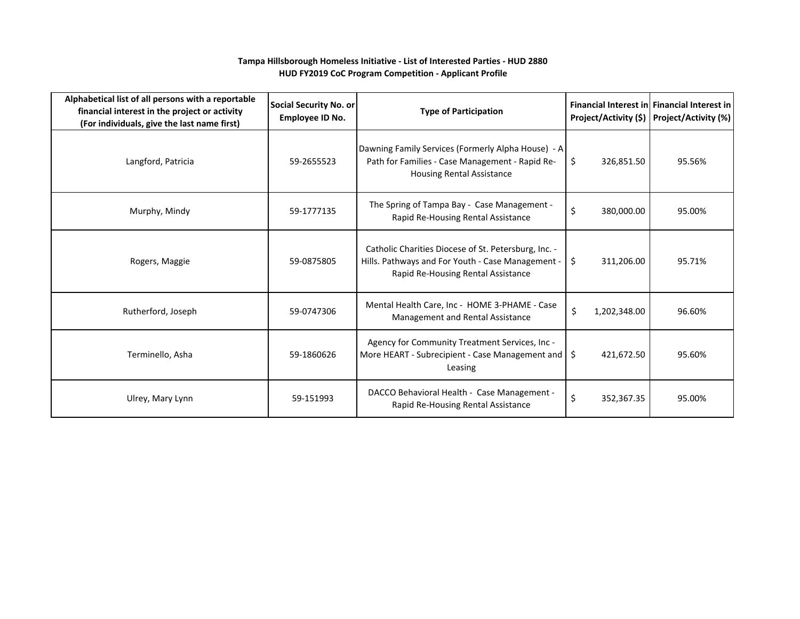#### **Tampa Hillsborough Homeless Initiative - List of Interested Parties - HUD 2880HUD FY2019 CoC Program Competition - Applicant Profile**

| Alphabetical list of all persons with a reportable<br>financial interest in the project or activity<br>(For individuals, give the last name first) | Social Security No. or<br>Employee ID No. | <b>Type of Participation</b>                                                                                                                    |                    | Financial Interest in Financial Interest in<br>Project/Activity (\$)   Project/Activity (%) |
|----------------------------------------------------------------------------------------------------------------------------------------------------|-------------------------------------------|-------------------------------------------------------------------------------------------------------------------------------------------------|--------------------|---------------------------------------------------------------------------------------------|
| Langford, Patricia                                                                                                                                 | 59-2655523                                | Dawning Family Services (Formerly Alpha House) - A<br>Path for Families - Case Management - Rapid Re-<br>Housing Rental Assistance              | \$<br>326,851.50   | 95.56%                                                                                      |
| Murphy, Mindy                                                                                                                                      | 59-1777135                                | The Spring of Tampa Bay - Case Management -<br>Rapid Re-Housing Rental Assistance                                                               | \$<br>380,000.00   | 95.00%                                                                                      |
| Rogers, Maggie                                                                                                                                     | 59-0875805                                | Catholic Charities Diocese of St. Petersburg, Inc. -<br>Hills. Pathways and For Youth - Case Management -<br>Rapid Re-Housing Rental Assistance | \$<br>311,206.00   | 95.71%                                                                                      |
| Rutherford, Joseph                                                                                                                                 | 59-0747306                                | Mental Health Care, Inc - HOME 3-PHAME - Case<br>Management and Rental Assistance                                                               | \$<br>1,202,348.00 | 96.60%                                                                                      |
| Terminello, Asha                                                                                                                                   | 59-1860626                                | Agency for Community Treatment Services, Inc -<br>More HEART - Subrecipient - Case Management and   \$<br>Leasing                               | 421,672.50         | 95.60%                                                                                      |
| Ulrey, Mary Lynn                                                                                                                                   | 59-151993                                 | DACCO Behavioral Health - Case Management -<br>Rapid Re-Housing Rental Assistance                                                               | \$<br>352,367.35   | 95.00%                                                                                      |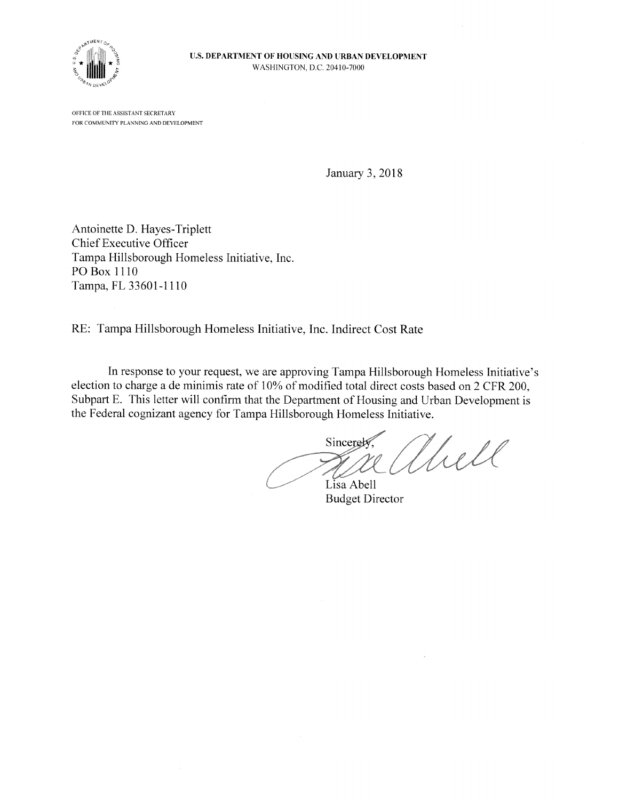

#### U.S. DEPARTMENT OF HOUSING AND URBAN DEVELOPMENT WASHINGTON, D.C. 20410-7000

OFFICE OF THE ASSISTANT SECRETARY FOR COMMUNITY PLANNING AND DEVELOPMENT

January 3, 2018

Antoinette D. Hayes-Triplett Chief Executive Officer Tampa Hillsborough Homeless Initiative, Inc. PO Box 1110 Tampa, FL 33601-1110

RE: Tampa Hillsborough Homeless Initiative, Inc. Indirect Cost Rate

In response to your request, we are approving Tampa Hillsborough Homeless Initiative's election to charge a de minimis rate of 10% of modified total direct costs based on 2 CFR 200, Subpart E. This letter will confirm that the Department of Housing and Urban Development is the Federal cognizant agency for Tampa Hillsborough Homeless Initiative.

Sincerek hell Lisa Abell

**Budget Director**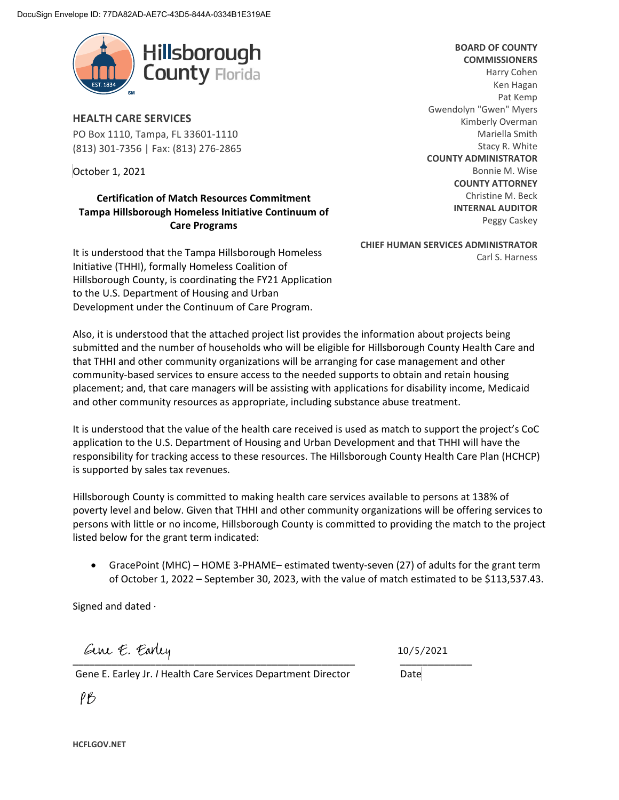

**HEALTH CARE SERVICES** PO Box 1110, Tampa, FL 33601‐1110 (813) 301‐7356 | Fax: (813) 276‐2865

October 1, 2021

#### **Certification of Match Resources Commitment Tampa Hillsborough Homeless Initiative Continuum of Care Programs**

It is understood that the Tampa Hillsborough Homeless Initiative (THHI), formally Homeless Coalition of Hillsborough County, is coordinating the FY21 Application to the U.S. Department of Housing and Urban Development under the Continuum of Care Program.

 **COMMISSIONERS**  Harry Cohen Ken Hagan Pat Kemp Gwendolyn "Gwen" Myers Kimberly Overman Mariella Smith Stacy R. White **COUNTY ADMINISTRATOR**  Bonnie M. Wise **COUNTY ATTORNEY** Christine M. Beck **INTERNAL AUDITOR**  Peggy Caskey

**BOARD OF COUNTY** 

**CHIEF HUMAN SERVICES ADMINISTRATOR** Carl S. Harness

Also, it is understood that the attached project list provides the information about projects being submitted and the number of households who will be eligible for Hillsborough County Health Care and that THHI and other community organizations will be arranging for case management and other community-based services to ensure access to the needed supports to obtain and retain housing placement; and, that care managers will be assisting with applications for disability income, Medicaid and other community resources as appropriate, including substance abuse treatment.

It is understood that the value of the health care received is used as match to support the project's CoC application to the U.S. Department of Housing and Urban Development and that THHI will have the responsibility for tracking access to these resources. The Hillsborough County Health Care Plan (HCHCP) is supported by sales tax revenues.

Hillsborough County is committed to making health care services available to persons at 138% of poverty level and below. Given that THHI and other community organizations will be offering services to persons with little or no income, Hillsborough County is committed to providing the match to the project listed below for the grant term indicated:

 GracePoint (MHC) – HOME 3‐PHAME– estimated twenty‐seven (27) of adults for the grant term of October 1, 2022 – September 30, 2023, with the value of match estimated to be \$113,537.43.

Signed and dated ∙

\_\_\_\_\_\_\_\_\_\_\_\_\_\_\_\_\_\_\_\_\_\_\_\_\_\_\_\_\_\_\_\_\_\_\_\_\_\_\_\_\_\_\_\_\_\_\_\_\_\_\_ \_\_\_\_\_\_\_\_\_\_\_\_\_

10/5/2021

Gene E. Earley Jr. *I* Health Care Services Department Director **Date** 

РB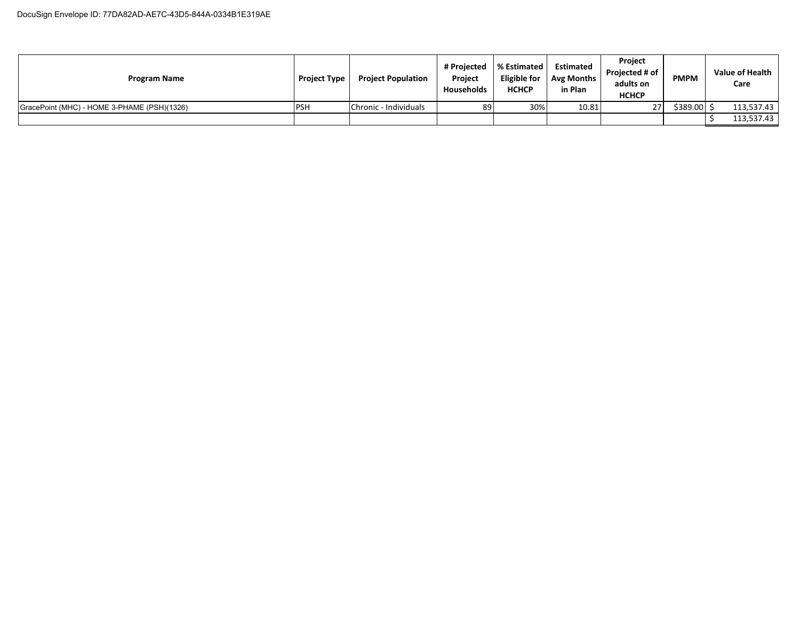| <b>Program Name</b>                         | <b>Project Type</b> | <b>Project Population</b> | # Proiected<br><b>Project</b><br>Households | ■ % Estimated<br><b>Eligible for</b><br><b>HCHCP</b> | Estimated<br>Avg Months<br>in Plan | Project<br>Projected # of  <br>adults on<br><b>HCHCP</b> | <b>PMPM</b> | <b>Value of Health</b><br>Care |
|---------------------------------------------|---------------------|---------------------------|---------------------------------------------|------------------------------------------------------|------------------------------------|----------------------------------------------------------|-------------|--------------------------------|
| GracePoint (MHC) - HOME 3-PHAME (PSH)(1326) | PSH                 | Chronic - Individuals     | 89                                          | 30%                                                  | 10.81                              | 27 <sup>1</sup>                                          | $$389.00$ : | 113,537.43                     |
|                                             |                     |                           |                                             |                                                      |                                    |                                                          |             | 113,537.43                     |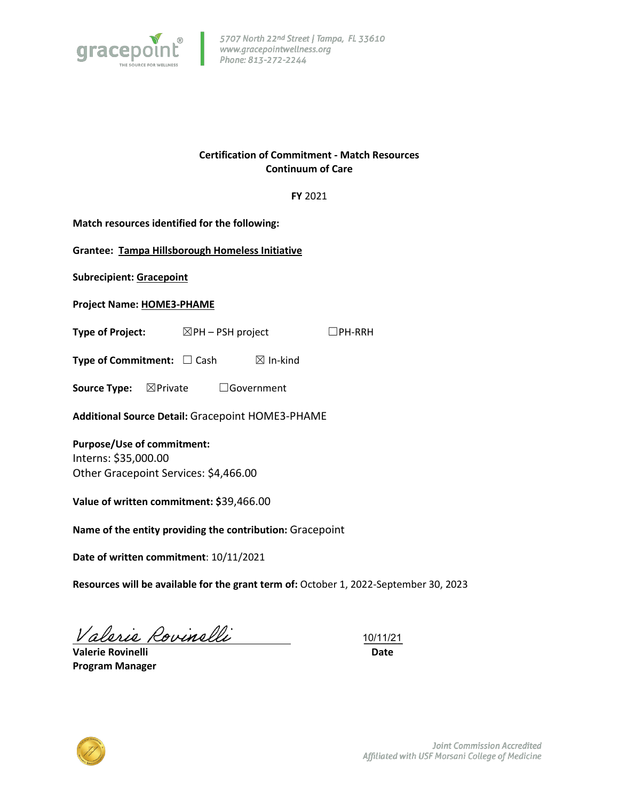

#### **Certification of Commitment - Match Resources Continuum of Care**

#### **FY** 2021

**Match resources identified for the following:**

**Grantee: Tampa Hillsborough Homeless Initiative**

**Subrecipient: Gracepoint** 

**Project Name: HOME3-PHAME** 

**Type of Project:** ☒PH – PSH project ☐PH-RRH

**Type of Commitment:** □ Cash  $□$  In-kind

**Source Type:** ⊠Private □ Government

**Additional Source Detail:** Gracepoint HOME3-PHAME

**Purpose/Use of commitment:**  Interns: \$35,000.00 Other Gracepoint Services: \$4,466.00

**Value of written commitment: \$**39,466.00

**Name of the entity providing the contribution:** Gracepoint

**Date of written commitment**: 10/11/2021

**Resources will be available for the grant term of:** October 1, 2022-September 30, 2023

Valerie Rovinelli

**Valerie Rovinelli Date** 10/11/21



**Program Manager**